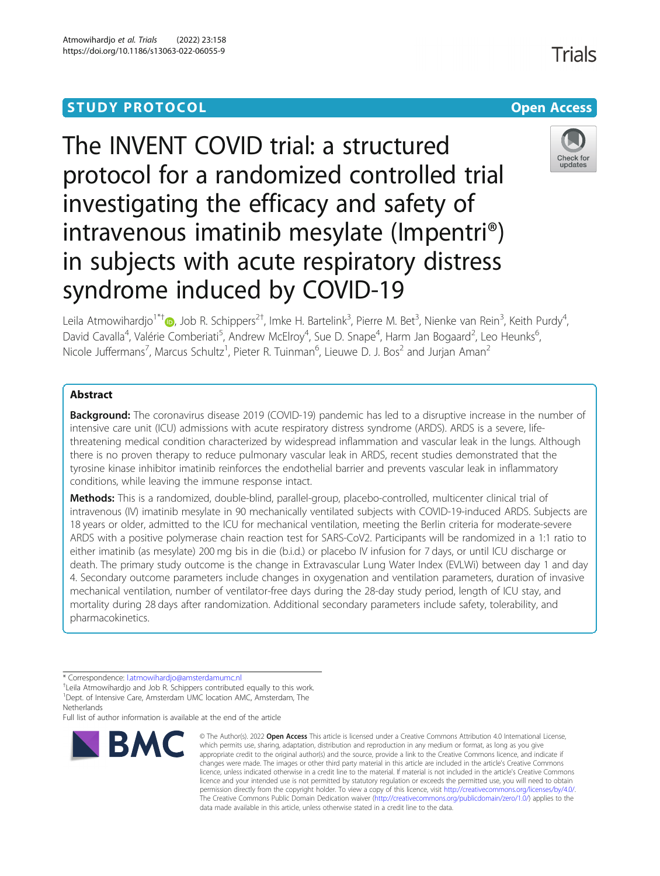## **STUDY PROTOCOL CONSUMING THE CONSUMING OPEN ACCESS**

# The INVENT COVID trial: a structured protocol for a randomized controlled trial investigating the efficacy and safety of intravenous imatinib mesylate (Impentri®) in subjects with acute respiratory distress syndrome induced by COVID-19



Leila Atmowihardjo<sup>1\*†</sup>®[,](http://orcid.org/0000-0002-7452-1867) Job R. Schippers<sup>2†</sup>, Imke H. Bartelink<sup>3</sup>, Pierre M. Bet<sup>3</sup>, Nienke van Rein<sup>3</sup>, Keith Purdy<sup>4</sup> , David Cavalla<sup>4</sup>, Valérie Comberiati<sup>5</sup>, Andrew McElroy<sup>4</sup>, Sue D. Snape<sup>4</sup>, Harm Jan Bogaard<sup>2</sup>, Leo Heunks<sup>6</sup> , Nicole Juffermans<sup>7</sup>, Marcus Schultz<sup>1</sup>, Pieter R. Tuinman<sup>6</sup>, Lieuwe D. J. Bos<sup>2</sup> and Jurjan Aman<sup>2</sup>

## Abstract

**Background:** The coronavirus disease 2019 (COVID-19) pandemic has led to a disruptive increase in the number of intensive care unit (ICU) admissions with acute respiratory distress syndrome (ARDS). ARDS is a severe, lifethreatening medical condition characterized by widespread inflammation and vascular leak in the lungs. Although there is no proven therapy to reduce pulmonary vascular leak in ARDS, recent studies demonstrated that the tyrosine kinase inhibitor imatinib reinforces the endothelial barrier and prevents vascular leak in inflammatory conditions, while leaving the immune response intact.

Methods: This is a randomized, double-blind, parallel-group, placebo-controlled, multicenter clinical trial of intravenous (IV) imatinib mesylate in 90 mechanically ventilated subjects with COVID-19-induced ARDS. Subjects are 18 years or older, admitted to the ICU for mechanical ventilation, meeting the Berlin criteria for moderate-severe ARDS with a positive polymerase chain reaction test for SARS-CoV2. Participants will be randomized in a 1:1 ratio to either imatinib (as mesylate) 200 mg bis in die (b.i.d.) or placebo IV infusion for 7 days, or until ICU discharge or death. The primary study outcome is the change in Extravascular Lung Water Index (EVLWi) between day 1 and day 4. Secondary outcome parameters include changes in oxygenation and ventilation parameters, duration of invasive mechanical ventilation, number of ventilator-free days during the 28-day study period, length of ICU stay, and mortality during 28 days after randomization. Additional secondary parameters include safety, tolerability, and pharmacokinetics.

Full list of author information is available at the end of the article



<sup>©</sup> The Author(s), 2022 **Open Access** This article is licensed under a Creative Commons Attribution 4.0 International License, which permits use, sharing, adaptation, distribution and reproduction in any medium or format, as long as you give appropriate credit to the original author(s) and the source, provide a link to the Creative Commons licence, and indicate if changes were made. The images or other third party material in this article are included in the article's Creative Commons licence, unless indicated otherwise in a credit line to the material. If material is not included in the article's Creative Commons licence and your intended use is not permitted by statutory regulation or exceeds the permitted use, you will need to obtain permission directly from the copyright holder. To view a copy of this licence, visit [http://creativecommons.org/licenses/by/4.0/.](http://creativecommons.org/licenses/by/4.0/) The Creative Commons Public Domain Dedication waiver [\(http://creativecommons.org/publicdomain/zero/1.0/](http://creativecommons.org/publicdomain/zero/1.0/)) applies to the data made available in this article, unless otherwise stated in a credit line to the data.

Trials

<sup>\*</sup> Correspondence: [l.atmowihardjo@amsterdamumc.nl](mailto:l.atmowihardjo@amsterdamumc.nl) †

<sup>&</sup>lt;sup>+</sup>Leila Atmowihardjo and Job R. Schippers contributed equally to this work. <sup>1</sup>Dept. of Intensive Care, Amsterdam UMC location AMC, Amsterdam, The **Netherlands**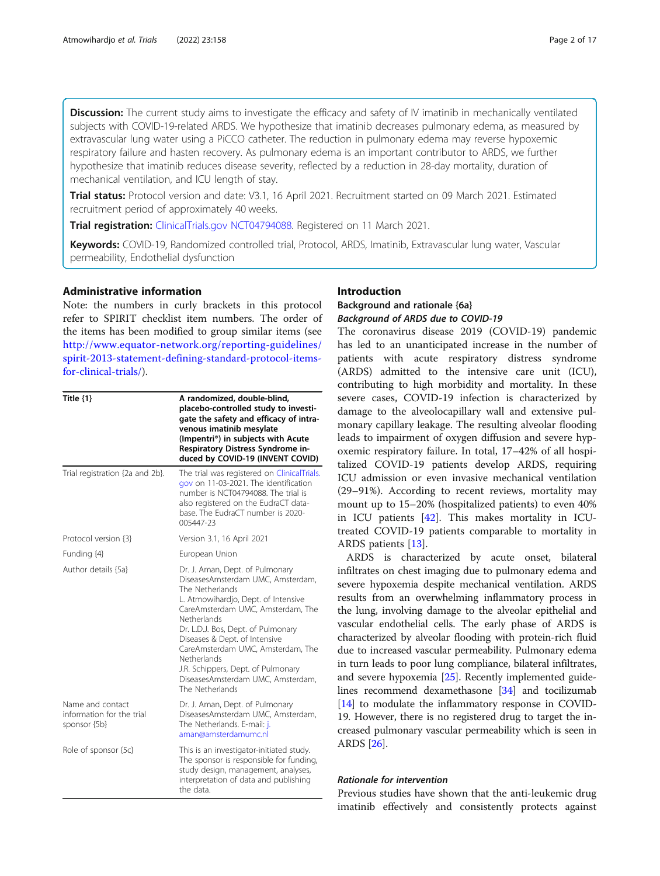Discussion: The current study aims to investigate the efficacy and safety of IV imatinib in mechanically ventilated subjects with COVID-19-related ARDS. We hypothesize that imatinib decreases pulmonary edema, as measured by extravascular lung water using a PiCCO catheter. The reduction in pulmonary edema may reverse hypoxemic respiratory failure and hasten recovery. As pulmonary edema is an important contributor to ARDS, we further hypothesize that imatinib reduces disease severity, reflected by a reduction in 28-day mortality, duration of mechanical ventilation, and ICU length of stay.

Trial status: Protocol version and date: V3.1, 16 April 2021. Recruitment started on 09 March 2021. Estimated recruitment period of approximately 40 weeks.

Trial registration: [ClinicalTrials.gov](http://clinicaltrials.gov) [NCT04794088](mailto:NCT04794088). Registered on 11 March 2021.

Keywords: COVID-19, Randomized controlled trial, Protocol, ARDS, Imatinib, Extravascular lung water, Vascular permeability, Endothelial dysfunction

## Administrative information

Note: the numbers in curly brackets in this protocol refer to SPIRIT checklist item numbers. The order of the items has been modified to group similar items (see [http://www.equator-network.org/reporting-guidelines/](http://www.equator-network.org/reporting-guidelines/spirit-2013-statement-defining-standard-protocol-items-for-clinical-trials/) [spirit-2013-statement-defining-standard-protocol-items](http://www.equator-network.org/reporting-guidelines/spirit-2013-statement-defining-standard-protocol-items-for-clinical-trials/)[for-clinical-trials/](http://www.equator-network.org/reporting-guidelines/spirit-2013-statement-defining-standard-protocol-items-for-clinical-trials/)).

| Title $\{1\}$                                                 | A randomized, double-blind,<br>placebo-controlled study to investi-<br>gate the safety and efficacy of intra-<br>venous imatinib mesylate<br>(Impentri®) in subjects with Acute<br>Respiratory Distress Syndrome in-<br>duced by COVID-19 (INVENT COVID)                                                                                                                                                    |
|---------------------------------------------------------------|-------------------------------------------------------------------------------------------------------------------------------------------------------------------------------------------------------------------------------------------------------------------------------------------------------------------------------------------------------------------------------------------------------------|
| Trial registration {2a and 2b}.                               | The trial was registered on ClinicalTrials.<br>gov on 11-03-2021. The identification<br>number is NCT04794088. The trial is<br>also registered on the EudraCT data-<br>base. The EudraCT number is 2020-<br>005447-23                                                                                                                                                                                       |
| Protocol version {3}                                          | Version 3.1, 16 April 2021                                                                                                                                                                                                                                                                                                                                                                                  |
| Funding {4}                                                   | European Union                                                                                                                                                                                                                                                                                                                                                                                              |
| Author details {5a}                                           | Dr. J. Aman, Dept. of Pulmonary<br>DiseasesAmsterdam UMC, Amsterdam,<br>The Netherlands<br>L. Atmowihardjo, Dept. of Intensive<br>CareAmsterdam UMC, Amsterdam, The<br>Netherlands<br>Dr. L.D.J. Bos, Dept. of Pulmonary<br>Diseases & Dept. of Intensive<br>CareAmsterdam UMC, Amsterdam, The<br>Netherlands<br>J.R. Schippers, Dept. of Pulmonary<br>DiseasesAmsterdam UMC, Amsterdam,<br>The Netherlands |
| Name and contact<br>information for the trial<br>sponsor {5b} | Dr. J. Aman, Dept. of Pulmonary<br>DiseasesAmsterdam UMC, Amsterdam,<br>The Netherlands. E-mail: j.<br>aman@amsterdamumc.nl                                                                                                                                                                                                                                                                                 |
| Role of sponsor {5c}                                          | This is an investigator-initiated study.<br>The sponsor is responsible for funding,<br>study design, management, analyses,<br>interpretation of data and publishing<br>the data.                                                                                                                                                                                                                            |

## Introduction

## Background and rationale {6a} Background of ARDS due to COVID-19

The coronavirus disease 2019 (COVID-19) pandemic has led to an unanticipated increase in the number of patients with acute respiratory distress syndrome (ARDS) admitted to the intensive care unit (ICU), contributing to high morbidity and mortality. In these severe cases, COVID-19 infection is characterized by damage to the alveolocapillary wall and extensive pulmonary capillary leakage. The resulting alveolar flooding leads to impairment of oxygen diffusion and severe hypoxemic respiratory failure. In total, 17–42% of all hospitalized COVID-19 patients develop ARDS, requiring ICU admission or even invasive mechanical ventilation (29–91%). According to recent reviews, mortality may mount up to 15–20% (hospitalized patients) to even 40% in ICU patients [\[42](#page-16-0)]. This makes mortality in ICUtreated COVID-19 patients comparable to mortality in ARDS patients [\[13\]](#page-15-0).

ARDS is characterized by acute onset, bilateral infiltrates on chest imaging due to pulmonary edema and severe hypoxemia despite mechanical ventilation. ARDS results from an overwhelming inflammatory process in the lung, involving damage to the alveolar epithelial and vascular endothelial cells. The early phase of ARDS is characterized by alveolar flooding with protein-rich fluid due to increased vascular permeability. Pulmonary edema in turn leads to poor lung compliance, bilateral infiltrates, and severe hypoxemia [\[25\]](#page-15-0). Recently implemented guidelines recommend dexamethasone [\[34\]](#page-15-0) and tocilizumab [[14](#page-15-0)] to modulate the inflammatory response in COVID-19. However, there is no registered drug to target the increased pulmonary vascular permeability which is seen in ARDS [\[26\]](#page-15-0).

## Rationale for intervention

Previous studies have shown that the anti-leukemic drug imatinib effectively and consistently protects against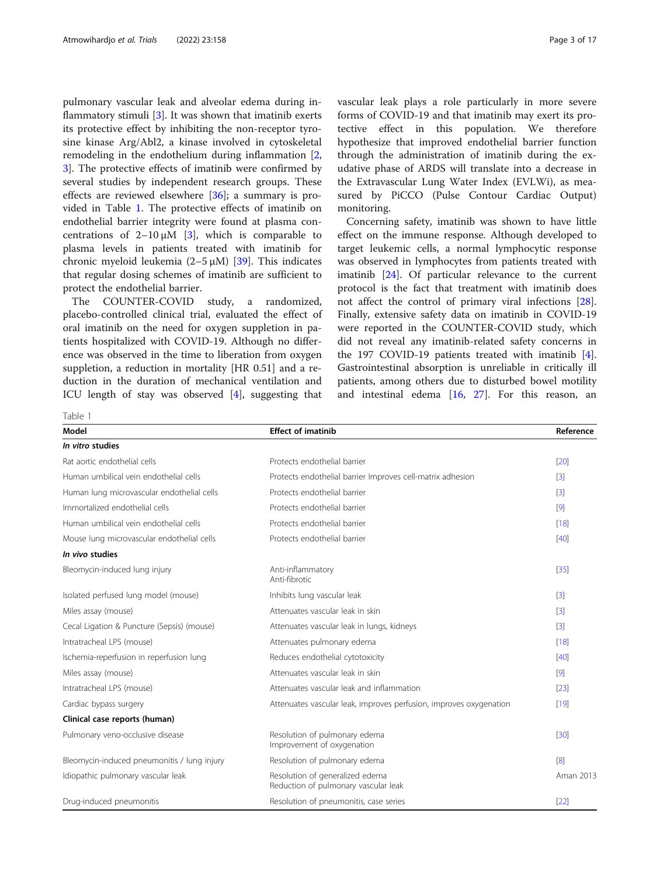pulmonary vascular leak and alveolar edema during inflammatory stimuli  $[3]$  $[3]$ . It was shown that imatinib exerts its protective effect by inhibiting the non-receptor tyrosine kinase Arg/Abl2, a kinase involved in cytoskeletal remodeling in the endothelium during inflammation [\[2](#page-14-0), [3\]](#page-15-0). The protective effects of imatinib were confirmed by several studies by independent research groups. These effects are reviewed elsewhere [[36](#page-15-0)]; a summary is provided in Table 1. The protective effects of imatinib on endothelial barrier integrity were found at plasma concentrations of  $2-10 \mu M$  [[3\]](#page-15-0), which is comparable to plasma levels in patients treated with imatinib for chronic myeloid leukemia  $(2-5 \mu M)$  [[39](#page-15-0)]. This indicates that regular dosing schemes of imatinib are sufficient to protect the endothelial barrier.

The COUNTER-COVID study, a randomized, placebo-controlled clinical trial, evaluated the effect of oral imatinib on the need for oxygen suppletion in patients hospitalized with COVID-19. Although no difference was observed in the time to liberation from oxygen suppletion, a reduction in mortality [HR 0.51] and a reduction in the duration of mechanical ventilation and ICU length of stay was observed [[4\]](#page-15-0), suggesting that vascular leak plays a role particularly in more severe forms of COVID-19 and that imatinib may exert its protective effect in this population. We therefore hypothesize that improved endothelial barrier function through the administration of imatinib during the exudative phase of ARDS will translate into a decrease in the Extravascular Lung Water Index (EVLWi), as measured by PiCCO (Pulse Contour Cardiac Output) monitoring.

Concerning safety, imatinib was shown to have little effect on the immune response. Although developed to target leukemic cells, a normal lymphocytic response was observed in lymphocytes from patients treated with imatinib [[24\]](#page-15-0). Of particular relevance to the current protocol is the fact that treatment with imatinib does not affect the control of primary viral infections [\[28](#page-15-0)]. Finally, extensive safety data on imatinib in COVID-19 were reported in the COUNTER-COVID study, which did not reveal any imatinib-related safety concerns in the 197 COVID-19 patients treated with imatinib [\[4](#page-15-0)]. Gastrointestinal absorption is unreliable in critically ill patients, among others due to disturbed bowel motility and intestinal edema [\[16](#page-15-0), [27](#page-15-0)]. For this reason, an

Table 1

| Model                                       | <b>Effect of imatinib</b>                                               | Reference         |
|---------------------------------------------|-------------------------------------------------------------------------|-------------------|
| In vitro studies                            |                                                                         |                   |
| Rat aortic endothelial cells                | Protects endothelial barrier                                            | [20]              |
| Human umbilical vein endothelial cells      | Protects endothelial barrier Improves cell-matrix adhesion              | $\lceil 3 \rceil$ |
| Human lung microvascular endothelial cells  | Protects endothelial barrier                                            | $\lceil 3 \rceil$ |
| Immortalized endothelial cells              | Protects endothelial barrier                                            | $\lceil 9 \rceil$ |
| Human umbilical vein endothelial cells      | Protects endothelial barrier                                            | [18]              |
| Mouse lung microvascular endothelial cells  | Protects endothelial barrier                                            | [40]              |
| In vivo studies                             |                                                                         |                   |
| Bleomycin-induced lung injury               | Anti-inflammatory<br>Anti-fibrotic                                      | $[35]$            |
| Isolated perfused lung model (mouse)        | Inhibits lung vascular leak                                             | $\lceil 3 \rceil$ |
| Miles assay (mouse)                         | Attenuates vascular leak in skin                                        | $\lceil 3 \rceil$ |
| Cecal Ligation & Puncture (Sepsis) (mouse)  | Attenuates vascular leak in lungs, kidneys                              | $\lceil 3 \rceil$ |
| Intratracheal LPS (mouse)                   | Attenuates pulmonary edema                                              | [18]              |
| Ischemia-reperfusion in reperfusion lung    | Reduces endothelial cytotoxicity                                        | [40]              |
| Miles assay (mouse)                         | Attenuates vascular leak in skin                                        | [9]               |
| Intratracheal LPS (mouse)                   | Attenuates vascular leak and inflammation                               | [23]              |
| Cardiac bypass surgery                      | Attenuates vascular leak, improves perfusion, improves oxygenation      | [19]              |
| Clinical case reports (human)               |                                                                         |                   |
| Pulmonary veno-occlusive disease            | Resolution of pulmonary edema<br>Improvement of oxygenation             | [30]              |
| Bleomycin-induced pneumonitis / lung injury | Resolution of pulmonary edema                                           | $\sqrt{8}$        |
| Idiopathic pulmonary vascular leak          | Resolution of generalized edema<br>Reduction of pulmonary vascular leak | Aman 2013         |
| Drug-induced pneumonitis                    | Resolution of pneumonitis, case series                                  | $[22]$            |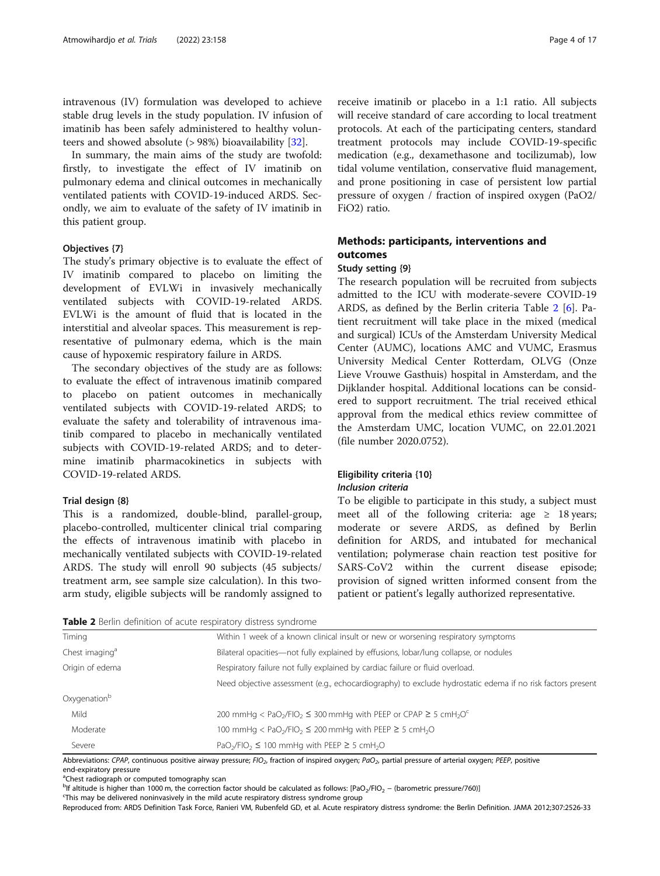intravenous (IV) formulation was developed to achieve stable drug levels in the study population. IV infusion of imatinib has been safely administered to healthy volunteers and showed absolute (> 98%) bioavailability [[32\]](#page-15-0).

In summary, the main aims of the study are twofold: firstly, to investigate the effect of IV imatinib on pulmonary edema and clinical outcomes in mechanically ventilated patients with COVID-19-induced ARDS. Secondly, we aim to evaluate of the safety of IV imatinib in this patient group.

## Objectives {7}

The study's primary objective is to evaluate the effect of IV imatinib compared to placebo on limiting the development of EVLWi in invasively mechanically ventilated subjects with COVID-19-related ARDS. EVLWi is the amount of fluid that is located in the interstitial and alveolar spaces. This measurement is representative of pulmonary edema, which is the main cause of hypoxemic respiratory failure in ARDS.

The secondary objectives of the study are as follows: to evaluate the effect of intravenous imatinib compared to placebo on patient outcomes in mechanically ventilated subjects with COVID-19-related ARDS; to evaluate the safety and tolerability of intravenous imatinib compared to placebo in mechanically ventilated subjects with COVID-19-related ARDS; and to determine imatinib pharmacokinetics in subjects with COVID-19-related ARDS.

#### Trial design {8}

This is a randomized, double-blind, parallel-group, placebo-controlled, multicenter clinical trial comparing the effects of intravenous imatinib with placebo in mechanically ventilated subjects with COVID-19-related ARDS. The study will enroll 90 subjects (45 subjects/ treatment arm, see sample size calculation). In this twoarm study, eligible subjects will be randomly assigned to

receive imatinib or placebo in a 1:1 ratio. All subjects will receive standard of care according to local treatment protocols. At each of the participating centers, standard treatment protocols may include COVID-19-specific medication (e.g., dexamethasone and tocilizumab), low tidal volume ventilation, conservative fluid management, and prone positioning in case of persistent low partial pressure of oxygen / fraction of inspired oxygen (PaO2/ FiO2) ratio.

## Methods: participants, interventions and outcomes

#### Study setting {9}

The research population will be recruited from subjects admitted to the ICU with moderate-severe COVID-19 ARDS, as defined by the Berlin criteria Table 2 [\[6\]](#page-15-0). Patient recruitment will take place in the mixed (medical and surgical) ICUs of the Amsterdam University Medical Center (AUMC), locations AMC and VUMC, Erasmus University Medical Center Rotterdam, OLVG (Onze Lieve Vrouwe Gasthuis) hospital in Amsterdam, and the Dijklander hospital. Additional locations can be considered to support recruitment. The trial received ethical approval from the medical ethics review committee of the Amsterdam UMC, location VUMC, on 22.01.2021 (file number 2020.0752).

## Eligibility criteria {10} Inclusion criteria

To be eligible to participate in this study, a subject must meet all of the following criteria: age  $\geq$  18 years; moderate or severe ARDS, as defined by Berlin definition for ARDS, and intubated for mechanical ventilation; polymerase chain reaction test positive for SARS-CoV2 within the current disease episode; provision of signed written informed consent from the patient or patient's legally authorized representative.

| <b>Table 2</b> Berlin definition of acute respiratory distress syndrome |  |  |  |  |
|-------------------------------------------------------------------------|--|--|--|--|
|-------------------------------------------------------------------------|--|--|--|--|

| Timing                     | Within 1 week of a known clinical insult or new or worsening respiratory symptoms                                        |  |
|----------------------------|--------------------------------------------------------------------------------------------------------------------------|--|
| Chest imaging <sup>a</sup> | Bilateral opacities—not fully explained by effusions, lobar/lung collapse, or nodules                                    |  |
| Origin of edema            | Respiratory failure not fully explained by cardiac failure or fluid overload.                                            |  |
|                            | Need objective assessment (e.g., echocardiography) to exclude hydrostatic edema if no risk factors present               |  |
| Oxygenation <sup>b</sup>   |                                                                                                                          |  |
| Mild                       | 200 mmHg < PaO <sub>2</sub> /FIO <sub>2</sub> $\leq$ 300 mmHg with PEEP or CPAP $\geq$ 5 cmH <sub>2</sub> O <sup>c</sup> |  |
| Moderate                   | 100 mmHg < PaO <sub>2</sub> /FIO <sub>2</sub> $\leq$ 200 mmHg with PEEP $\geq$ 5 cmH <sub>2</sub> O                      |  |
| Severe                     | PaO <sub>2</sub> /FIO <sub>2</sub> $\leq$ 100 mmHg with PEEP $\geq$ 5 cmH <sub>2</sub> O                                 |  |

Abbreviations: CPAP, continuous positive airway pressure; FIO<sub>2</sub>, fraction of inspired oxygen; PaO<sub>2</sub>, partial pressure of arterial oxygen; PEEP, positive

end-expiratory pressure

<sup>a</sup>Chest radiograph or computed tomography scan

Reproduced from: ARDS Definition Task Force, Ranieri VM, Rubenfeld GD, et al. Acute respiratory distress syndrome: the Berlin Definition. JAMA 2012;307:2526-33

be altitude is higher than 1000 m, the correction factor should be calculated as follows:  $[PaO_2/FlO_2 - (barometric pressure/760)]$ 

<sup>&</sup>lt;sup>c</sup>This may be delivered noninvasively in the mild acute respiratory distress syndrome group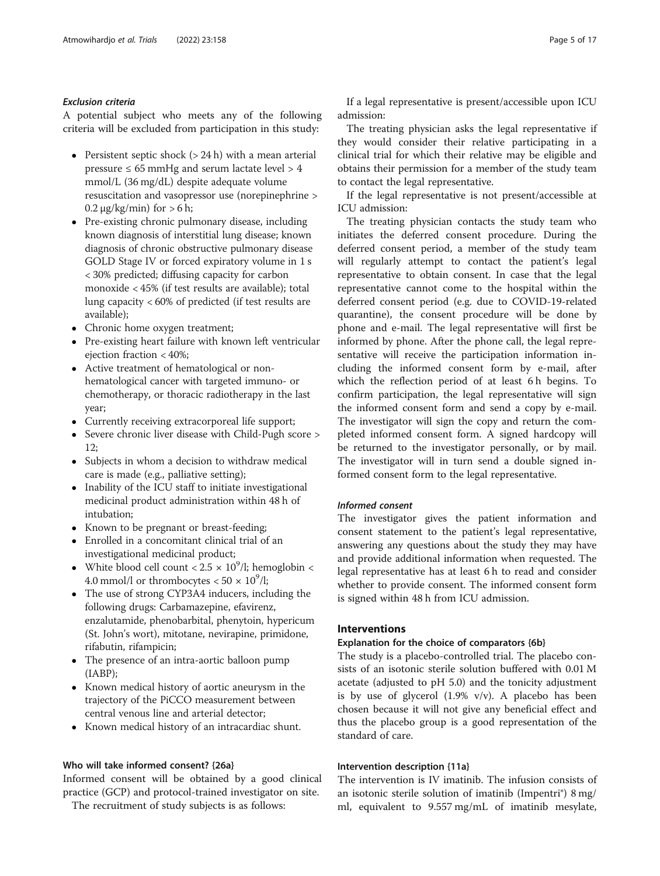## Exclusion criteria

A potential subject who meets any of the following criteria will be excluded from participation in this study:

- Persistent septic shock  $(> 24 h)$  with a mean arterial pressure  $\leq 65$  mmHg and serum lactate level  $> 4$ mmol/L (36 mg/dL) despite adequate volume resuscitation and vasopressor use (norepinephrine >  $0.2 \mu$ g/kg/min) for  $> 6$  h;
- Pre-existing chronic pulmonary disease, including known diagnosis of interstitial lung disease; known diagnosis of chronic obstructive pulmonary disease GOLD Stage IV or forced expiratory volume in 1 s < 30% predicted; diffusing capacity for carbon monoxide < 45% (if test results are available); total lung capacity < 60% of predicted (if test results are available);
- Chronic home oxygen treatment;
- Pre-existing heart failure with known left ventricular ejection fraction < 40%;
- Active treatment of hematological or nonhematological cancer with targeted immuno- or chemotherapy, or thoracic radiotherapy in the last year;
- Currently receiving extracorporeal life support;
- Severe chronic liver disease with Child-Pugh score >  $12:$
- Subjects in whom a decision to withdraw medical care is made (e.g., palliative setting);
- Inability of the ICU staff to initiate investigational medicinal product administration within 48 h of intubation;
- Known to be pregnant or breast-feeding;
- Enrolled in a concomitant clinical trial of an investigational medicinal product;
- White blood cell count <  $2.5 \times 10^9$ /l; hemoglobin < 4.0 mmol/l or thrombocytes  $< 50 \times 10^9$ /l;
- The use of strong CYP3A4 inducers, including the following drugs: Carbamazepine, efavirenz, enzalutamide, phenobarbital, phenytoin, hypericum (St. John's wort), mitotane, nevirapine, primidone, rifabutin, rifampicin;
- The presence of an intra-aortic balloon pump (IABP);
- Known medical history of aortic aneurysm in the trajectory of the PiCCO measurement between central venous line and arterial detector;
- Known medical history of an intracardiac shunt.

## Who will take informed consent? {26a}

Informed consent will be obtained by a good clinical practice (GCP) and protocol-trained investigator on site.

The recruitment of study subjects is as follows:

If a legal representative is present/accessible upon ICU admission:

The treating physician asks the legal representative if they would consider their relative participating in a clinical trial for which their relative may be eligible and obtains their permission for a member of the study team to contact the legal representative.

If the legal representative is not present/accessible at ICU admission:

The treating physician contacts the study team who initiates the deferred consent procedure. During the deferred consent period, a member of the study team will regularly attempt to contact the patient's legal representative to obtain consent. In case that the legal representative cannot come to the hospital within the deferred consent period (e.g. due to COVID-19-related quarantine), the consent procedure will be done by phone and e-mail. The legal representative will first be informed by phone. After the phone call, the legal representative will receive the participation information including the informed consent form by e-mail, after which the reflection period of at least 6 h begins. To confirm participation, the legal representative will sign the informed consent form and send a copy by e-mail. The investigator will sign the copy and return the completed informed consent form. A signed hardcopy will be returned to the investigator personally, or by mail. The investigator will in turn send a double signed informed consent form to the legal representative.

## Informed consent

The investigator gives the patient information and consent statement to the patient's legal representative, answering any questions about the study they may have and provide additional information when requested. The legal representative has at least 6 h to read and consider whether to provide consent. The informed consent form is signed within 48 h from ICU admission.

## Interventions

## Explanation for the choice of comparators {6b}

The study is a placebo-controlled trial. The placebo consists of an isotonic sterile solution buffered with 0.01 M acetate (adjusted to pH 5.0) and the tonicity adjustment is by use of glycerol (1.9% v/v). A placebo has been chosen because it will not give any beneficial effect and thus the placebo group is a good representation of the standard of care.

## Intervention description {11a}

The intervention is IV imatinib. The infusion consists of an isotonic sterile solution of imatinib (Impentri®) 8 mg/ ml, equivalent to 9.557 mg/mL of imatinib mesylate,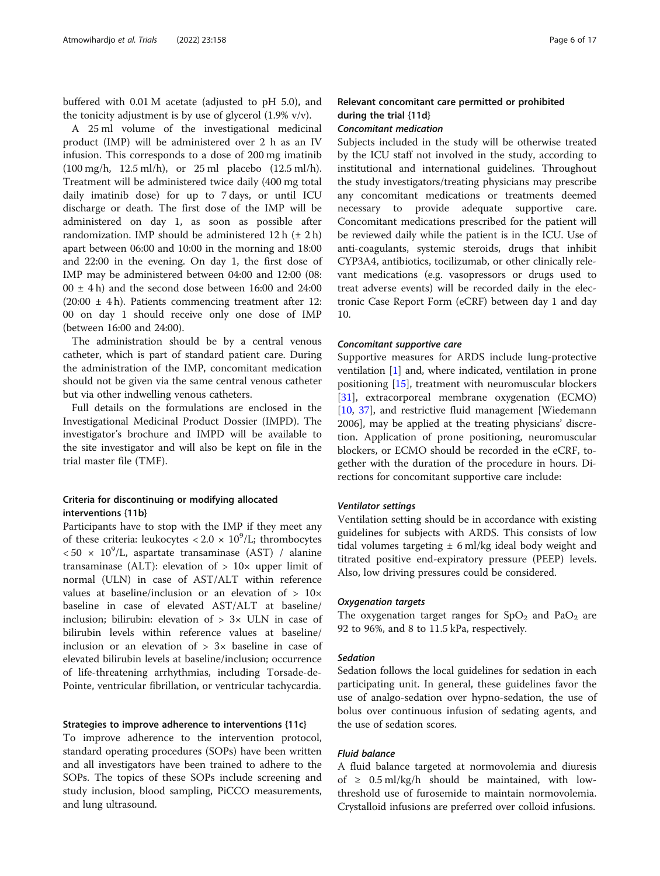buffered with 0.01 M acetate (adjusted to pH 5.0), and the tonicity adjustment is by use of glycerol  $(1.9\% \text{ v/v})$ .

A 25 ml volume of the investigational medicinal product (IMP) will be administered over 2 h as an IV infusion. This corresponds to a dose of 200 mg imatinib (100 mg/h, 12.5 ml/h), or 25 ml placebo (12.5 ml/h). Treatment will be administered twice daily (400 mg total daily imatinib dose) for up to 7 days, or until ICU discharge or death. The first dose of the IMP will be administered on day 1, as soon as possible after randomization. IMP should be administered  $12 h$  ( $\pm 2 h$ ) apart between 06:00 and 10:00 in the morning and 18:00 and 22:00 in the evening. On day 1, the first dose of IMP may be administered between 04:00 and 12:00 (08:  $00 \pm 4$  h) and the second dose between 16:00 and 24:00 (20:00 ± 4 h). Patients commencing treatment after 12: 00 on day 1 should receive only one dose of IMP (between 16:00 and 24:00).

The administration should be by a central venous catheter, which is part of standard patient care. During the administration of the IMP, concomitant medication should not be given via the same central venous catheter but via other indwelling venous catheters.

Full details on the formulations are enclosed in the Investigational Medicinal Product Dossier (IMPD). The investigator's brochure and IMPD will be available to the site investigator and will also be kept on file in the trial master file (TMF).

## Criteria for discontinuing or modifying allocated interventions {11b}

Participants have to stop with the IMP if they meet any of these criteria: leukocytes <  $2.0 \times 10^9$ /L; thrombocytes  $< 50 \times 10^9$ /L, aspartate transaminase (AST) / alanine transaminase (ALT): elevation of  $> 10\times$  upper limit of normal (ULN) in case of AST/ALT within reference values at baseline/inclusion or an elevation of > 10× baseline in case of elevated AST/ALT at baseline/ inclusion: bilirubin: elevation of  $> 3 \times$  ULN in case of bilirubin levels within reference values at baseline/ inclusion or an elevation of  $> 3x$  baseline in case of elevated bilirubin levels at baseline/inclusion; occurrence of life-threatening arrhythmias, including Torsade-de-Pointe, ventricular fibrillation, or ventricular tachycardia.

#### Strategies to improve adherence to interventions {11c}

To improve adherence to the intervention protocol, standard operating procedures (SOPs) have been written and all investigators have been trained to adhere to the SOPs. The topics of these SOPs include screening and study inclusion, blood sampling, PiCCO measurements, and lung ultrasound.

## Relevant concomitant care permitted or prohibited during the trial {11d}

## Concomitant medication

Subjects included in the study will be otherwise treated by the ICU staff not involved in the study, according to institutional and international guidelines. Throughout the study investigators/treating physicians may prescribe any concomitant medications or treatments deemed necessary to provide adequate supportive care. Concomitant medications prescribed for the patient will be reviewed daily while the patient is in the ICU. Use of anti-coagulants, systemic steroids, drugs that inhibit CYP3A4, antibiotics, tocilizumab, or other clinically relevant medications (e.g. vasopressors or drugs used to treat adverse events) will be recorded daily in the electronic Case Report Form (eCRF) between day 1 and day 10.

#### Concomitant supportive care

Supportive measures for ARDS include lung-protective ventilation [\[1](#page-14-0)] and, where indicated, ventilation in prone positioning [[15\]](#page-15-0), treatment with neuromuscular blockers [[31\]](#page-15-0), extracorporeal membrane oxygenation (ECMO) [[10,](#page-15-0) [37\]](#page-15-0), and restrictive fluid management [Wiedemann 2006], may be applied at the treating physicians' discretion. Application of prone positioning, neuromuscular blockers, or ECMO should be recorded in the eCRF, together with the duration of the procedure in hours. Directions for concomitant supportive care include:

#### Ventilator settings

Ventilation setting should be in accordance with existing guidelines for subjects with ARDS. This consists of low tidal volumes targeting  $\pm$  6 ml/kg ideal body weight and titrated positive end-expiratory pressure (PEEP) levels. Also, low driving pressures could be considered.

#### Oxygenation targets

The oxygenation target ranges for  $SpO<sub>2</sub>$  and PaO<sub>2</sub> are 92 to 96%, and 8 to 11.5 kPa, respectively.

#### Sedation

Sedation follows the local guidelines for sedation in each participating unit. In general, these guidelines favor the use of analgo-sedation over hypno-sedation, the use of bolus over continuous infusion of sedating agents, and the use of sedation scores.

## Fluid balance

A fluid balance targeted at normovolemia and diuresis of  $\geq$  0.5 ml/kg/h should be maintained, with lowthreshold use of furosemide to maintain normovolemia. Crystalloid infusions are preferred over colloid infusions.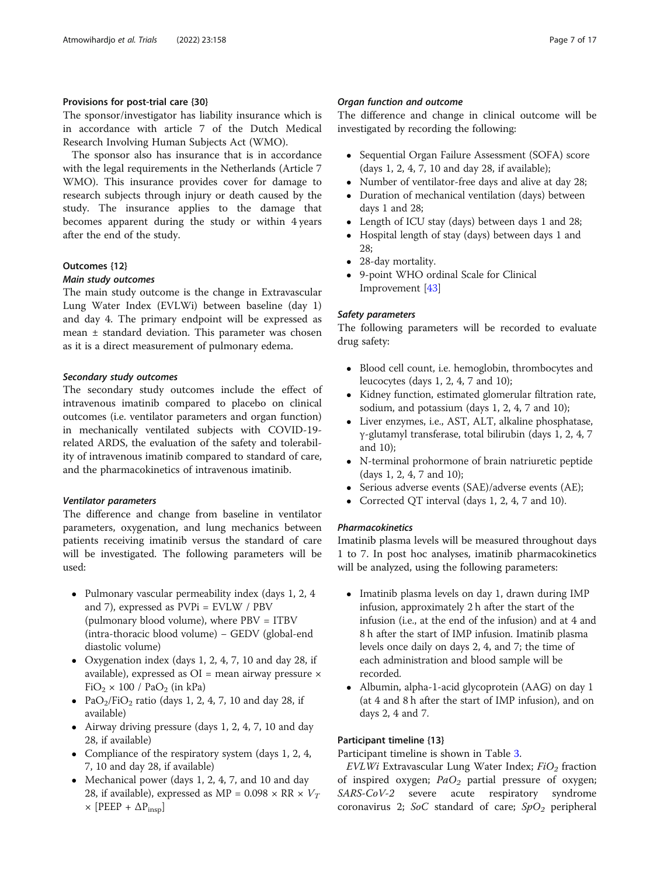## Provisions for post-trial care {30}

The sponsor/investigator has liability insurance which is in accordance with article 7 of the Dutch Medical Research Involving Human Subjects Act (WMO).

The sponsor also has insurance that is in accordance with the legal requirements in the Netherlands (Article 7 WMO). This insurance provides cover for damage to research subjects through injury or death caused by the study. The insurance applies to the damage that becomes apparent during the study or within 4 years after the end of the study.

## Outcomes {12}

## Main study outcomes

The main study outcome is the change in Extravascular Lung Water Index (EVLWi) between baseline (day 1) and day 4. The primary endpoint will be expressed as mean ± standard deviation. This parameter was chosen as it is a direct measurement of pulmonary edema.

## Secondary study outcomes

The secondary study outcomes include the effect of intravenous imatinib compared to placebo on clinical outcomes (i.e. ventilator parameters and organ function) in mechanically ventilated subjects with COVID-19 related ARDS, the evaluation of the safety and tolerability of intravenous imatinib compared to standard of care, and the pharmacokinetics of intravenous imatinib.

## Ventilator parameters

The difference and change from baseline in ventilator parameters, oxygenation, and lung mechanics between patients receiving imatinib versus the standard of care will be investigated. The following parameters will be used:

- Pulmonary vascular permeability index (days 1, 2, 4 and 7), expressed as PVPi = EVLW / PBV (pulmonary blood volume), where PBV = ITBV (intra-thoracic blood volume) − GEDV (global-end diastolic volume)
- Oxygenation index (days 1, 2, 4, 7, 10 and day 28, if available), expressed as  $OI$  = mean airway pressure  $\times$  $FiO<sub>2</sub> \times 100$  / PaO<sub>2</sub> (in kPa)
- PaO<sub>2</sub>/FiO<sub>2</sub> ratio (days 1, 2, 4, 7, 10 and day 28, if available)
- Airway driving pressure (days 1, 2, 4, 7, 10 and day 28, if available)
- Compliance of the respiratory system (days 1, 2, 4, 7, 10 and day 28, if available)
- Mechanical power (days 1, 2, 4, 7, and 10 and day 28, if available), expressed as MP =  $0.098 \times RR \times V_T$  $\times$  [PEEP +  $\Delta P_{insp}$ ]

## Organ function and outcome

The difference and change in clinical outcome will be investigated by recording the following:

- Sequential Organ Failure Assessment (SOFA) score (days 1, 2, 4, 7, 10 and day 28, if available);
- Number of ventilator-free days and alive at day 28;
- Duration of mechanical ventilation (days) between days 1 and 28;
- Length of ICU stay (days) between days 1 and 28;
- Hospital length of stay (days) between days 1 and 28;
- 28-day mortality.<br>• 9-point WHO or
- 9-point WHO ordinal Scale for Clinical Improvement [[43](#page-16-0)]

## Safety parameters

The following parameters will be recorded to evaluate drug safety:

- Blood cell count, i.e. hemoglobin, thrombocytes and leucocytes (days 1, 2, 4, 7 and 10);
- Kidney function, estimated glomerular filtration rate, sodium, and potassium (days 1, 2, 4, 7 and 10);
- Liver enzymes, i.e., AST, ALT, alkaline phosphatase, γ-glutamyl transferase, total bilirubin (days 1, 2, 4, 7 and 10);
- N-terminal prohormone of brain natriuretic peptide (days 1, 2, 4, 7 and 10);
- Serious adverse events (SAE)/adverse events (AE);
- Corrected QT interval (days 1, 2, 4, 7 and 10).

## Pharmacokinetics

Imatinib plasma levels will be measured throughout days 1 to 7. In post hoc analyses, imatinib pharmacokinetics will be analyzed, using the following parameters:

- Imatinib plasma levels on day 1, drawn during IMP infusion, approximately 2 h after the start of the infusion (i.e., at the end of the infusion) and at 4 and 8 h after the start of IMP infusion. Imatinib plasma levels once daily on days 2, 4, and 7; the time of each administration and blood sample will be recorded.
- Albumin, alpha-1-acid glycoprotein (AAG) on day 1 (at 4 and 8 h after the start of IMP infusion), and on days 2, 4 and 7.

## Participant timeline {13}

Participant timeline is shown in Table [3.](#page-7-0)

 $EVLWi$  Extravascular Lung Water Index;  $FiO<sub>2</sub>$  fraction of inspired oxygen;  $PaO<sub>2</sub>$  partial pressure of oxygen; SARS-CoV-2 severe acute respiratory syndrome coronavirus 2; SoC standard of care;  $SpO<sub>2</sub>$  peripheral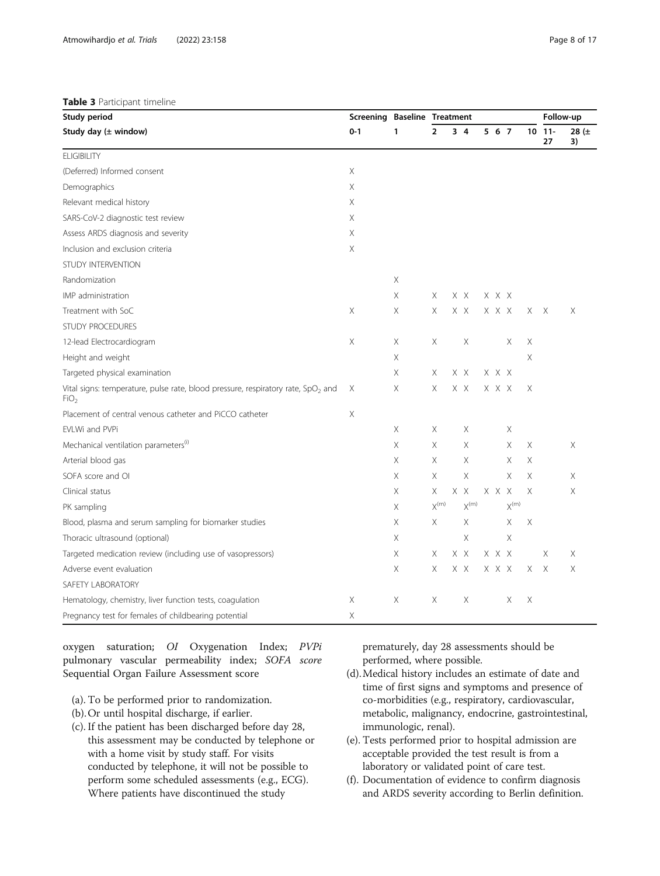#### <span id="page-7-0"></span>Table 3 Participant timeline

| Study period                                                                                                     | <b>Screening Baseline Treatment</b> |   |                |                |       |                             |          | Follow-up        |                 |
|------------------------------------------------------------------------------------------------------------------|-------------------------------------|---|----------------|----------------|-------|-----------------------------|----------|------------------|-----------------|
| Study day (± window)                                                                                             | $0 - 1$                             | 1 | $\overline{2}$ | 3 <sub>4</sub> | 5 6 7 |                             |          | $10$ $11-$<br>27 | 28 $(\pm$<br>3) |
| <b>ELIGIBILITY</b>                                                                                               |                                     |   |                |                |       |                             |          |                  |                 |
| (Deferred) Informed consent                                                                                      | X                                   |   |                |                |       |                             |          |                  |                 |
| Demographics                                                                                                     | Χ                                   |   |                |                |       |                             |          |                  |                 |
| Relevant medical history                                                                                         | Χ                                   |   |                |                |       |                             |          |                  |                 |
| SARS-CoV-2 diagnostic test review                                                                                | Χ                                   |   |                |                |       |                             |          |                  |                 |
| Assess ARDS diagnosis and severity                                                                               | X                                   |   |                |                |       |                             |          |                  |                 |
| Inclusion and exclusion criteria                                                                                 | Χ                                   |   |                |                |       |                             |          |                  |                 |
| STUDY INTERVENTION                                                                                               |                                     |   |                |                |       |                             |          |                  |                 |
| Randomization                                                                                                    |                                     | Χ |                |                |       |                             |          |                  |                 |
| IMP administration                                                                                               |                                     | Χ | Χ              | X X            | X X X |                             |          |                  |                 |
| Treatment with SoC                                                                                               | Χ                                   | Χ | X              | X X            | X X X |                             | X X      |                  | X               |
| <b>STUDY PROCEDURES</b>                                                                                          |                                     |   |                |                |       |                             |          |                  |                 |
| 12-lead Electrocardiogram                                                                                        | Χ                                   | Χ | Χ              | Χ              |       | Χ                           | Χ        |                  |                 |
| Height and weight                                                                                                |                                     | X |                |                |       |                             | X        |                  |                 |
| Targeted physical examination                                                                                    |                                     | X | X              | X X            | X X X |                             |          |                  |                 |
| Vital signs: temperature, pulse rate, blood pressure, respiratory rate, SpO <sub>2</sub> and<br>FiO <sub>2</sub> | Χ                                   | X | X              | X X            | X X X |                             | X        |                  |                 |
| Placement of central venous catheter and PiCCO catheter                                                          | Χ                                   |   |                |                |       |                             |          |                  |                 |
| EVLWi and PVPi                                                                                                   |                                     | Χ | Χ              | Χ              |       | Χ                           |          |                  |                 |
| Mechanical ventilation parameters <sup>(i)</sup>                                                                 |                                     | Χ | X              | X              |       | Χ                           | Χ        |                  | $\times$        |
| Arterial blood gas                                                                                               |                                     | Χ | X              | X              |       | X                           | X        |                  |                 |
| SOFA score and OI                                                                                                |                                     | X | Χ              | Χ              |       | X                           | X        |                  | Χ               |
| Clinical status                                                                                                  |                                     | Χ | Χ              | X X            | X X X |                             | $\times$ |                  | Χ               |
| PK sampling                                                                                                      |                                     | X | $X^{(m)}$      | $X^{(m)}$      |       | $\mathsf{X}^{(\mathsf{m})}$ |          |                  |                 |
| Blood, plasma and serum sampling for biomarker studies                                                           |                                     | Χ | X              | X              |       | Χ                           | Χ        |                  |                 |
| Thoracic ultrasound (optional)                                                                                   |                                     | Χ |                | Χ              |       | Χ                           |          |                  |                 |
| Targeted medication review (including use of vasopressors)                                                       |                                     | Χ | Χ              | X X            | X X X |                             |          | X                | X               |
| Adverse event evaluation                                                                                         |                                     | Χ | X              | X X            | X X X |                             | X.       | $\times$         | $\times$        |
| SAFETY LABORATORY                                                                                                |                                     |   |                |                |       |                             |          |                  |                 |
| Hematology, chemistry, liver function tests, coagulation                                                         | Χ                                   | Χ | Χ              | Χ              |       | Χ                           | Χ        |                  |                 |
| Pregnancy test for females of childbearing potential                                                             | X                                   |   |                |                |       |                             |          |                  |                 |

oxygen saturation; OI Oxygenation Index; PVPi pulmonary vascular permeability index; SOFA score Sequential Organ Failure Assessment score

- (a). To be performed prior to randomization.
- (b).Or until hospital discharge, if earlier.
- (c). If the patient has been discharged before day 28, this assessment may be conducted by telephone or with a home visit by study staff. For visits conducted by telephone, it will not be possible to perform some scheduled assessments (e.g., ECG). Where patients have discontinued the study

prematurely, day 28 assessments should be performed, where possible.

- (d).Medical history includes an estimate of date and time of first signs and symptoms and presence of co-morbidities (e.g., respiratory, cardiovascular, metabolic, malignancy, endocrine, gastrointestinal, immunologic, renal).
- (e). Tests performed prior to hospital admission are acceptable provided the test result is from a laboratory or validated point of care test.
- (f). Documentation of evidence to confirm diagnosis and ARDS severity according to Berlin definition.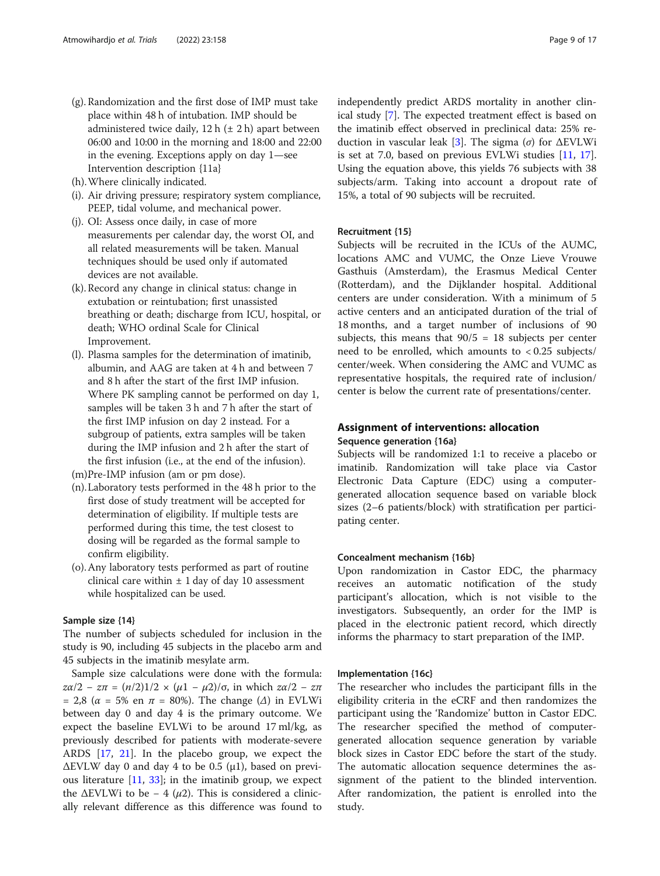- (g). Randomization and the first dose of IMP must take place within 48 h of intubation. IMP should be administered twice daily,  $12 h (+ 2 h)$  apart between 06:00 and 10:00 in the morning and 18:00 and 22:00 in the evening. Exceptions apply on day 1—see Intervention description {11a}
- (h).Where clinically indicated.
- (i). Air driving pressure; respiratory system compliance, PEEP, tidal volume, and mechanical power.
- (j). OI: Assess once daily, in case of more measurements per calendar day, the worst OI, and all related measurements will be taken. Manual techniques should be used only if automated devices are not available.
- (k). Record any change in clinical status: change in extubation or reintubation; first unassisted breathing or death; discharge from ICU, hospital, or death; WHO ordinal Scale for Clinical Improvement.
- (l). Plasma samples for the determination of imatinib, albumin, and AAG are taken at 4 h and between 7 and 8 h after the start of the first IMP infusion. Where PK sampling cannot be performed on day 1, samples will be taken 3 h and 7 h after the start of the first IMP infusion on day 2 instead. For a subgroup of patients, extra samples will be taken during the IMP infusion and 2 h after the start of the first infusion (i.e., at the end of the infusion).
- (m)Pre-IMP infusion (am or pm dose).
- (n).Laboratory tests performed in the 48 h prior to the first dose of study treatment will be accepted for determination of eligibility. If multiple tests are performed during this time, the test closest to dosing will be regarded as the formal sample to confirm eligibility.
- (o).Any laboratory tests performed as part of routine clinical care within  $\pm$  1 day of day 10 assessment while hospitalized can be used.

## Sample size {14}

The number of subjects scheduled for inclusion in the study is 90, including 45 subjects in the placebo arm and 45 subjects in the imatinib mesylate arm.

Sample size calculations were done with the formula:  $zα/2 - zπ = (n/2)1/2 \times (μ1 - μ2)/σ$ , in which  $zα/2 - zπ$ = 2,8 ( $\alpha$  = 5% en  $\pi$  = 80%). The change ( $\Delta$ ) in EVLWi between day 0 and day 4 is the primary outcome. We expect the baseline EVLWi to be around 17 ml/kg, as previously described for patients with moderate-severe ARDS [\[17](#page-15-0), [21\]](#page-15-0). In the placebo group, we expect the  $\Delta$ EVLW day 0 and day 4 to be 0.5 ( $\mu$ 1), based on previous literature [[11,](#page-15-0) [33](#page-15-0)]; in the imatinib group, we expect the  $\Delta$ EVLWi to be – 4 ( $\mu$ 2). This is considered a clinically relevant difference as this difference was found to

independently predict ARDS mortality in another clinical study [\[7](#page-15-0)]. The expected treatment effect is based on the imatinib effect observed in preclinical data: 25% re-duction in vascular leak [[3\]](#page-15-0). The sigma (σ) for  $ΔEVLWi$ is set at 7.0, based on previous EVLWi studies [[11](#page-15-0), [17](#page-15-0)]. Using the equation above, this yields 76 subjects with 38 subjects/arm. Taking into account a dropout rate of 15%, a total of 90 subjects will be recruited.

## Recruitment {15}

Subjects will be recruited in the ICUs of the AUMC, locations AMC and VUMC, the Onze Lieve Vrouwe Gasthuis (Amsterdam), the Erasmus Medical Center (Rotterdam), and the Dijklander hospital. Additional centers are under consideration. With a minimum of 5 active centers and an anticipated duration of the trial of 18 months, and a target number of inclusions of 90 subjects, this means that  $90/5 = 18$  subjects per center need to be enrolled, which amounts to < 0.25 subjects/ center/week. When considering the AMC and VUMC as representative hospitals, the required rate of inclusion/ center is below the current rate of presentations/center.

## Assignment of interventions: allocation Sequence generation {16a}

Subjects will be randomized 1:1 to receive a placebo or imatinib. Randomization will take place via Castor Electronic Data Capture (EDC) using a computergenerated allocation sequence based on variable block sizes (2–6 patients/block) with stratification per participating center.

#### Concealment mechanism {16b}

Upon randomization in Castor EDC, the pharmacy receives an automatic notification of the study participant's allocation, which is not visible to the investigators. Subsequently, an order for the IMP is placed in the electronic patient record, which directly informs the pharmacy to start preparation of the IMP.

#### Implementation {16c}

The researcher who includes the participant fills in the eligibility criteria in the eCRF and then randomizes the participant using the 'Randomize' button in Castor EDC. The researcher specified the method of computergenerated allocation sequence generation by variable block sizes in Castor EDC before the start of the study. The automatic allocation sequence determines the assignment of the patient to the blinded intervention. After randomization, the patient is enrolled into the study.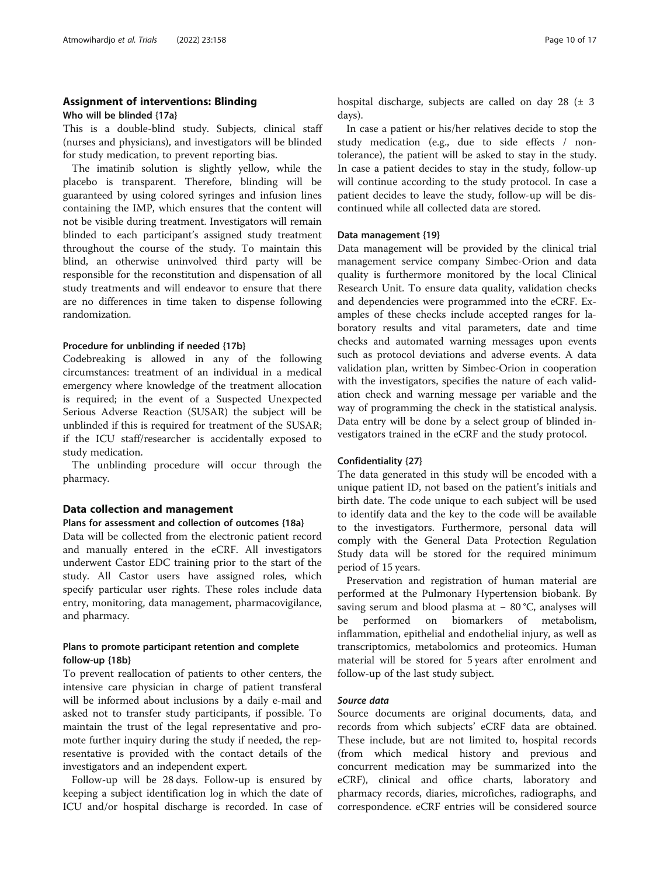## Assignment of interventions: Blinding

Who will be blinded {17a}

This is a double-blind study. Subjects, clinical staff (nurses and physicians), and investigators will be blinded for study medication, to prevent reporting bias.

The imatinib solution is slightly yellow, while the placebo is transparent. Therefore, blinding will be guaranteed by using colored syringes and infusion lines containing the IMP, which ensures that the content will not be visible during treatment. Investigators will remain blinded to each participant's assigned study treatment throughout the course of the study. To maintain this blind, an otherwise uninvolved third party will be responsible for the reconstitution and dispensation of all study treatments and will endeavor to ensure that there are no differences in time taken to dispense following randomization.

#### Procedure for unblinding if needed {17b}

Codebreaking is allowed in any of the following circumstances: treatment of an individual in a medical emergency where knowledge of the treatment allocation is required; in the event of a Suspected Unexpected Serious Adverse Reaction (SUSAR) the subject will be unblinded if this is required for treatment of the SUSAR; if the ICU staff/researcher is accidentally exposed to study medication.

The unblinding procedure will occur through the pharmacy.

#### Data collection and management

#### Plans for assessment and collection of outcomes {18a}

Data will be collected from the electronic patient record and manually entered in the eCRF. All investigators underwent Castor EDC training prior to the start of the study. All Castor users have assigned roles, which specify particular user rights. These roles include data entry, monitoring, data management, pharmacovigilance, and pharmacy.

## Plans to promote participant retention and complete follow-up {18b}

To prevent reallocation of patients to other centers, the intensive care physician in charge of patient transferal will be informed about inclusions by a daily e-mail and asked not to transfer study participants, if possible. To maintain the trust of the legal representative and promote further inquiry during the study if needed, the representative is provided with the contact details of the investigators and an independent expert.

Follow-up will be 28 days. Follow-up is ensured by keeping a subject identification log in which the date of ICU and/or hospital discharge is recorded. In case of hospital discharge, subjects are called on day 28 (± 3 days).

In case a patient or his/her relatives decide to stop the study medication (e.g., due to side effects / nontolerance), the patient will be asked to stay in the study. In case a patient decides to stay in the study, follow-up will continue according to the study protocol. In case a patient decides to leave the study, follow-up will be discontinued while all collected data are stored.

#### Data management {19}

Data management will be provided by the clinical trial management service company Simbec-Orion and data quality is furthermore monitored by the local Clinical Research Unit. To ensure data quality, validation checks and dependencies were programmed into the eCRF. Examples of these checks include accepted ranges for laboratory results and vital parameters, date and time checks and automated warning messages upon events such as protocol deviations and adverse events. A data validation plan, written by Simbec-Orion in cooperation with the investigators, specifies the nature of each validation check and warning message per variable and the way of programming the check in the statistical analysis. Data entry will be done by a select group of blinded investigators trained in the eCRF and the study protocol.

#### Confidentiality {27}

The data generated in this study will be encoded with a unique patient ID, not based on the patient's initials and birth date. The code unique to each subject will be used to identify data and the key to the code will be available to the investigators. Furthermore, personal data will comply with the General Data Protection Regulation Study data will be stored for the required minimum period of 15 years.

Preservation and registration of human material are performed at the Pulmonary Hypertension biobank. By saving serum and blood plasma at − 80 °C, analyses will be performed on biomarkers of metabolism, inflammation, epithelial and endothelial injury, as well as transcriptomics, metabolomics and proteomics. Human material will be stored for 5 years after enrolment and follow-up of the last study subject.

## Source data

Source documents are original documents, data, and records from which subjects' eCRF data are obtained. These include, but are not limited to, hospital records (from which medical history and previous and concurrent medication may be summarized into the eCRF), clinical and office charts, laboratory and pharmacy records, diaries, microfiches, radiographs, and correspondence. eCRF entries will be considered source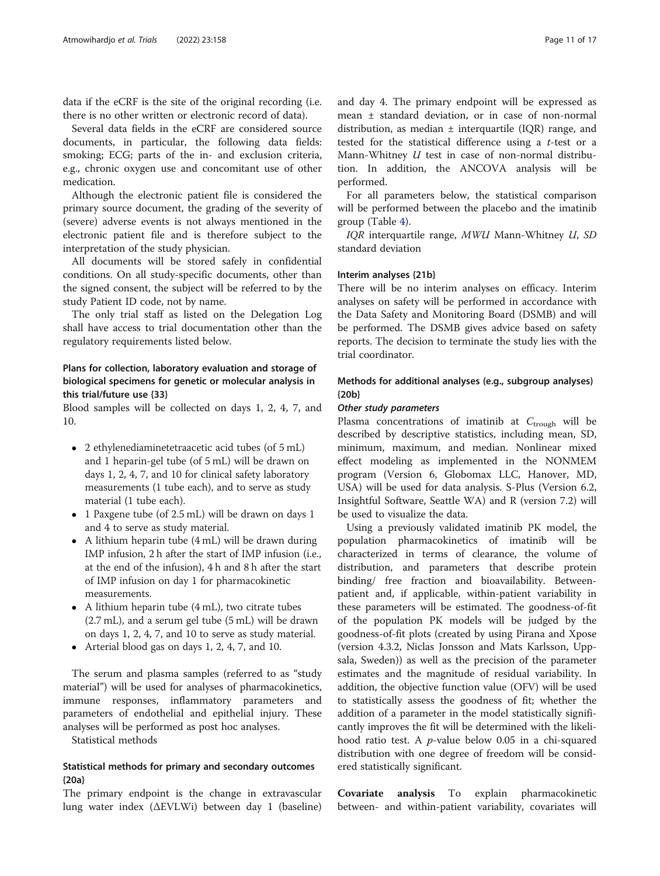data if the eCRF is the site of the original recording (i.e. there is no other written or electronic record of data).

Several data fields in the eCRF are considered source documents, in particular, the following data fields: smoking; ECG; parts of the in- and exclusion criteria, e.g., chronic oxygen use and concomitant use of other medication.

Although the electronic patient file is considered the primary source document, the grading of the severity of (severe) adverse events is not always mentioned in the electronic patient file and is therefore subject to the interpretation of the study physician.

All documents will be stored safely in confidential conditions. On all study-specific documents, other than the signed consent, the subject will be referred to by the study Patient ID code, not by name.

The only trial staff as listed on the Delegation Log shall have access to trial documentation other than the regulatory requirements listed below.

## Plans for collection, laboratory evaluation and storage of biological specimens for genetic or molecular analysis in this trial/future use {33}

Blood samples will be collected on days 1, 2, 4, 7, and 10.

- 2 ethylenediaminetetraacetic acid tubes (of 5 mL) and 1 heparin-gel tube (of 5 mL) will be drawn on days 1, 2, 4, 7, and 10 for clinical safety laboratory measurements (1 tube each), and to serve as study material (1 tube each).
- 1 Paxgene tube (of 2.5 mL) will be drawn on days 1 and 4 to serve as study material.
- A lithium heparin tube (4 mL) will be drawn during IMP infusion, 2 h after the start of IMP infusion (i.e., at the end of the infusion), 4 h and 8 h after the start of IMP infusion on day 1 for pharmacokinetic measurements.
- A lithium heparin tube (4 mL), two citrate tubes (2.7 mL), and a serum gel tube (5 mL) will be drawn on days 1, 2, 4, 7, and 10 to serve as study material.
- Arterial blood gas on days 1, 2, 4, 7, and 10.

The serum and plasma samples (referred to as "study material") will be used for analyses of pharmacokinetics, immune responses, inflammatory parameters and parameters of endothelial and epithelial injury. These analyses will be performed as post hoc analyses.

Statistical methods

## Statistical methods for primary and secondary outcomes {20a}

The primary endpoint is the change in extravascular lung water index (ΔEVLWi) between day 1 (baseline)

and day 4. The primary endpoint will be expressed as mean ± standard deviation, or in case of non-normal distribution, as median  $\pm$  interquartile (IOR) range, and tested for the statistical difference using a  $t$ -test or a Mann-Whitney *U* test in case of non-normal distribution. In addition, the ANCOVA analysis will be performed.

For all parameters below, the statistical comparison will be performed between the placebo and the imatinib group (Table [4\)](#page-11-0).

IQR interquartile range, MWU Mann-Whitney U, SD standard deviation

## Interim analyses {21b}

There will be no interim analyses on efficacy. Interim analyses on safety will be performed in accordance with the Data Safety and Monitoring Board (DSMB) and will be performed. The DSMB gives advice based on safety reports. The decision to terminate the study lies with the trial coordinator.

## Methods for additional analyses (e.g., subgroup analyses) {20b}

#### Other study parameters

Plasma concentrations of imatinib at  $C_{\text{trough}}$  will be described by descriptive statistics, including mean, SD, minimum, maximum, and median. Nonlinear mixed effect modeling as implemented in the NONMEM program (Version 6, Globomax LLC, Hanover, MD, USA) will be used for data analysis. S-Plus (Version 6.2, Insightful Software, Seattle WA) and R (version 7.2) will be used to visualize the data.

Using a previously validated imatinib PK model, the population pharmacokinetics of imatinib will be characterized in terms of clearance, the volume of distribution, and parameters that describe protein binding/ free fraction and bioavailability. Betweenpatient and, if applicable, within-patient variability in these parameters will be estimated. The goodness-of-fit of the population PK models will be judged by the goodness-of-fit plots (created by using Pirana and Xpose (version 4.3.2, Niclas Jonsson and Mats Karlsson, Uppsala, Sweden)) as well as the precision of the parameter estimates and the magnitude of residual variability. In addition, the objective function value (OFV) will be used to statistically assess the goodness of fit; whether the addition of a parameter in the model statistically significantly improves the fit will be determined with the likelihood ratio test. A p-value below 0.05 in a chi-squared distribution with one degree of freedom will be considered statistically significant.

Covariate analysis To explain pharmacokinetic between- and within-patient variability, covariates will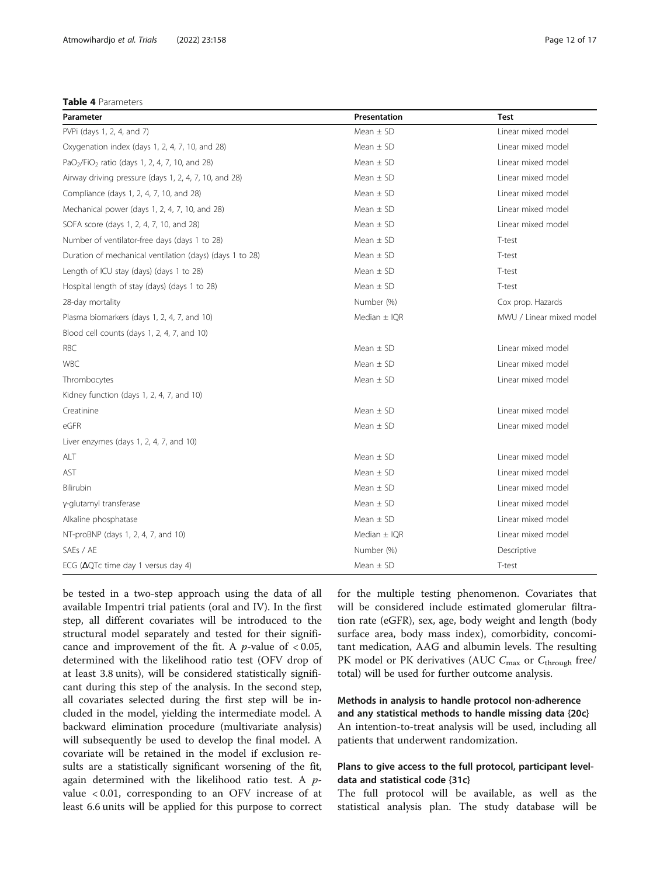<span id="page-11-0"></span>

|  | Table 4 Parameters |
|--|--------------------|
|--|--------------------|

| Parameter                                                              | Presentation                        | <b>Test</b>              |  |  |
|------------------------------------------------------------------------|-------------------------------------|--------------------------|--|--|
| PVPi (days 1, 2, 4, and 7)                                             | Mean $\pm$ SD                       | Linear mixed model       |  |  |
| Oxygenation index (days 1, 2, 4, 7, 10, and 28)                        | Mean $\pm$ SD                       | Linear mixed model       |  |  |
| PaO <sub>2</sub> /FiO <sub>2</sub> ratio (days 1, 2, 4, 7, 10, and 28) | Mean $\pm$ SD                       | Linear mixed model       |  |  |
| Airway driving pressure (days 1, 2, 4, 7, 10, and 28)                  | Mean $\pm$ SD                       | Linear mixed model       |  |  |
| Compliance (days 1, 2, 4, 7, 10, and 28)                               | Mean $\pm$ SD                       | Linear mixed model       |  |  |
| Mechanical power (days 1, 2, 4, 7, 10, and 28)                         | Mean $\pm$ SD                       | Linear mixed model       |  |  |
| SOFA score (days 1, 2, 4, 7, 10, and 28)                               | $Mean + SD$                         | Linear mixed model       |  |  |
| Number of ventilator-free days (days 1 to 28)                          | $Mean + SD$                         | T-test                   |  |  |
| Duration of mechanical ventilation (days) (days 1 to 28)               | Mean $\pm$ SD                       | T-test                   |  |  |
| Length of ICU stay (days) (days 1 to 28)                               | Mean $\pm$ SD                       | T-test                   |  |  |
| Hospital length of stay (days) (days 1 to 28)                          | Mean $\pm$ SD                       | T-test                   |  |  |
| 28-day mortality                                                       | Number (%)                          | Cox prop. Hazards        |  |  |
| Plasma biomarkers (days 1, 2, 4, 7, and 10)                            | Median $\pm$ IOR                    | MWU / Linear mixed model |  |  |
| Blood cell counts (days 1, 2, 4, 7, and 10)                            |                                     |                          |  |  |
| RBC                                                                    | Mean $\pm$ SD                       | Linear mixed model       |  |  |
| <b>WBC</b>                                                             | Mean $\pm$ SD                       | Linear mixed model       |  |  |
| Thrombocytes                                                           | Mean $\pm$ SD                       | Linear mixed model       |  |  |
| Kidney function (days 1, 2, 4, 7, and 10)                              |                                     |                          |  |  |
| Creatinine                                                             | Mean $\pm$ SD                       | Linear mixed model       |  |  |
| eGFR                                                                   | Mean $\pm$ SD                       | Linear mixed model       |  |  |
| Liver enzymes (days 1, 2, 4, 7, and 10)                                |                                     |                          |  |  |
| ALT                                                                    | Mean $\pm$ SD<br>Linear mixed model |                          |  |  |
| AST                                                                    | Mean $\pm$ SD                       | Linear mixed model       |  |  |
| Bilirubin                                                              | $Mean + SD$                         | Linear mixed model       |  |  |
| y-glutamyl transferase                                                 | $Mean + SD$                         | Linear mixed model       |  |  |
| Alkaline phosphatase                                                   | Mean $\pm$ SD                       | Linear mixed model       |  |  |
| NT-proBNP (days 1, 2, 4, 7, and 10)                                    | Median $\pm$ IQR                    | Linear mixed model       |  |  |
| SAEs / AE                                                              | Number (%)                          | Descriptive              |  |  |
| ECG ( $\Delta$ QTc time day 1 versus day 4)                            | Mean $\pm$ SD                       | T-test                   |  |  |

be tested in a two-step approach using the data of all available Impentri trial patients (oral and IV). In the first step, all different covariates will be introduced to the structural model separately and tested for their significance and improvement of the fit. A *p*-value of  $< 0.05$ , determined with the likelihood ratio test (OFV drop of at least 3.8 units), will be considered statistically significant during this step of the analysis. In the second step, all covariates selected during the first step will be included in the model, yielding the intermediate model. A backward elimination procedure (multivariate analysis) will subsequently be used to develop the final model. A covariate will be retained in the model if exclusion results are a statistically significant worsening of the fit, again determined with the likelihood ratio test. A  $p$ value < 0.01, corresponding to an OFV increase of at least 6.6 units will be applied for this purpose to correct for the multiple testing phenomenon. Covariates that will be considered include estimated glomerular filtration rate (eGFR), sex, age, body weight and length (body surface area, body mass index), comorbidity, concomitant medication, AAG and albumin levels. The resulting PK model or PK derivatives (AUC  $C_{\text{max}}$  or  $C_{\text{through}}$  free/ total) will be used for further outcome analysis.

Methods in analysis to handle protocol non-adherence and any statistical methods to handle missing data {20c} An intention-to-treat analysis will be used, including all patients that underwent randomization.

## Plans to give access to the full protocol, participant leveldata and statistical code {31c}

The full protocol will be available, as well as the statistical analysis plan. The study database will be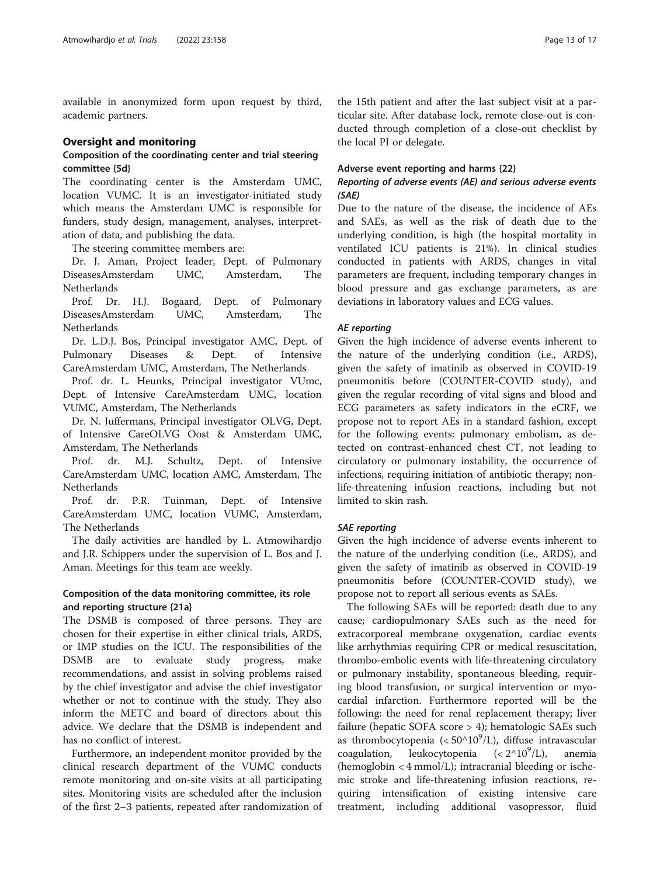available in anonymized form upon request by third, academic partners.

## Oversight and monitoring

## Composition of the coordinating center and trial steering committee {5d}

The coordinating center is the Amsterdam UMC, location VUMC. It is an investigator-initiated study which means the Amsterdam UMC is responsible for funders, study design, management, analyses, interpretation of data, and publishing the data.

The steering committee members are:

Dr. J. Aman, Project leader, Dept. of Pulmonary DiseasesAmsterdam UMC, Amsterdam, The Netherlands

Prof. Dr. H.J. Bogaard, Dept. of Pulmonary DiseasesAmsterdam UMC, Amsterdam, The Netherlands

Dr. L.D.J. Bos, Principal investigator AMC, Dept. of Pulmonary Diseases & Dept. of Intensive CareAmsterdam UMC, Amsterdam, The Netherlands

Prof. dr. L. Heunks, Principal investigator VUmc, Dept. of Intensive CareAmsterdam UMC, location VUMC, Amsterdam, The Netherlands

Dr. N. Juffermans, Principal investigator OLVG, Dept. of Intensive CareOLVG Oost & Amsterdam UMC, Amsterdam, The Netherlands

Prof. dr. M.J. Schultz, Dept. of Intensive CareAmsterdam UMC, location AMC, Amsterdam, The Netherlands

Prof. dr. P.R. Tuinman, Dept. of Intensive CareAmsterdam UMC, location VUMC, Amsterdam, The Netherlands

The daily activities are handled by L. Atmowihardjo and J.R. Schippers under the supervision of L. Bos and J. Aman. Meetings for this team are weekly.

## Composition of the data monitoring committee, its role and reporting structure {21a}

The DSMB is composed of three persons. They are chosen for their expertise in either clinical trials, ARDS, or IMP studies on the ICU. The responsibilities of the DSMB are to evaluate study progress, make recommendations, and assist in solving problems raised by the chief investigator and advise the chief investigator whether or not to continue with the study. They also inform the METC and board of directors about this advice. We declare that the DSMB is independent and has no conflict of interest.

Furthermore, an independent monitor provided by the clinical research department of the VUMC conducts remote monitoring and on-site visits at all participating sites. Monitoring visits are scheduled after the inclusion of the first 2–3 patients, repeated after randomization of the 15th patient and after the last subject visit at a particular site. After database lock, remote close-out is conducted through completion of a close-out checklist by the local PI or delegate.

## Adverse event reporting and harms {22}

## Reporting of adverse events (AE) and serious adverse events (SAE)

Due to the nature of the disease, the incidence of AEs and SAEs, as well as the risk of death due to the underlying condition, is high (the hospital mortality in ventilated ICU patients is 21%). In clinical studies conducted in patients with ARDS, changes in vital parameters are frequent, including temporary changes in blood pressure and gas exchange parameters, as are deviations in laboratory values and ECG values.

## AE reporting

Given the high incidence of adverse events inherent to the nature of the underlying condition (i.e., ARDS), given the safety of imatinib as observed in COVID-19 pneumonitis before (COUNTER-COVID study), and given the regular recording of vital signs and blood and ECG parameters as safety indicators in the eCRF, we propose not to report AEs in a standard fashion, except for the following events: pulmonary embolism, as detected on contrast-enhanced chest CT, not leading to circulatory or pulmonary instability, the occurrence of infections, requiring initiation of antibiotic therapy; nonlife-threatening infusion reactions, including but not limited to skin rash.

## SAE reporting

Given the high incidence of adverse events inherent to the nature of the underlying condition (i.e., ARDS), and given the safety of imatinib as observed in COVID-19 pneumonitis before (COUNTER-COVID study), we propose not to report all serious events as SAEs.

The following SAEs will be reported: death due to any cause; cardiopulmonary SAEs such as the need for extracorporeal membrane oxygenation, cardiac events like arrhythmias requiring CPR or medical resuscitation, thrombo-embolic events with life-threatening circulatory or pulmonary instability, spontaneous bleeding, requiring blood transfusion, or surgical intervention or myocardial infarction. Furthermore reported will be the following: the need for renal replacement therapy; liver failure (hepatic SOFA score > 4); hematologic SAEs such as thrombocytopenia (< $50^{\circ}10^9$ /L), diffuse intravascular coagulation, leukocytopenia  $( $2^{\wedge}10^9/L$ ),$ anemia (hemoglobin < 4 mmol/L); intracranial bleeding or ischemic stroke and life-threatening infusion reactions, requiring intensification of existing intensive care treatment, including additional vasopressor, fluid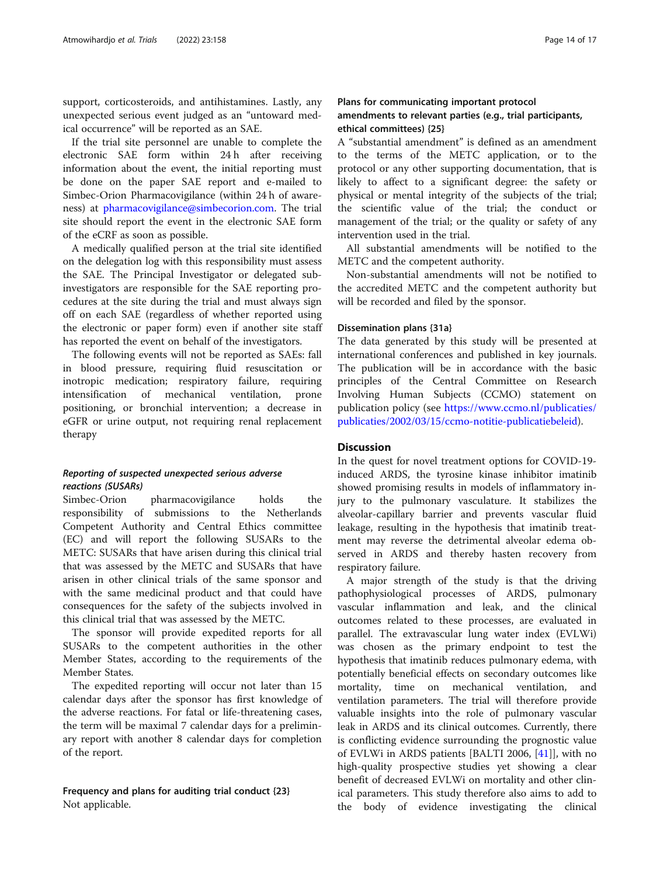support, corticosteroids, and antihistamines. Lastly, any unexpected serious event judged as an "untoward medical occurrence" will be reported as an SAE.

If the trial site personnel are unable to complete the electronic SAE form within 24 h after receiving information about the event, the initial reporting must be done on the paper SAE report and e-mailed to Simbec-Orion Pharmacovigilance (within 24 h of awareness) at [pharmacovigilance@simbecorion.com](mailto:pharmacovigilance@simbecorion.com). The trial site should report the event in the electronic SAE form of the eCRF as soon as possible.

A medically qualified person at the trial site identified on the delegation log with this responsibility must assess the SAE. The Principal Investigator or delegated subinvestigators are responsible for the SAE reporting procedures at the site during the trial and must always sign off on each SAE (regardless of whether reported using the electronic or paper form) even if another site staff has reported the event on behalf of the investigators.

The following events will not be reported as SAEs: fall in blood pressure, requiring fluid resuscitation or inotropic medication; respiratory failure, requiring intensification of mechanical ventilation, prone positioning, or bronchial intervention; a decrease in eGFR or urine output, not requiring renal replacement therapy

## Reporting of suspected unexpected serious adverse reactions (SUSARs)

Simbec-Orion pharmacovigilance holds the responsibility of submissions to the Netherlands Competent Authority and Central Ethics committee (EC) and will report the following SUSARs to the METC: SUSARs that have arisen during this clinical trial that was assessed by the METC and SUSARs that have arisen in other clinical trials of the same sponsor and with the same medicinal product and that could have consequences for the safety of the subjects involved in this clinical trial that was assessed by the METC.

The sponsor will provide expedited reports for all SUSARs to the competent authorities in the other Member States, according to the requirements of the Member States.

The expedited reporting will occur not later than 15 calendar days after the sponsor has first knowledge of the adverse reactions. For fatal or life-threatening cases, the term will be maximal 7 calendar days for a preliminary report with another 8 calendar days for completion of the report.

## Frequency and plans for auditing trial conduct {23} Not applicable.

## Plans for communicating important protocol amendments to relevant parties (e.g., trial participants, ethical committees) {25}

A "substantial amendment" is defined as an amendment to the terms of the METC application, or to the protocol or any other supporting documentation, that is likely to affect to a significant degree: the safety or physical or mental integrity of the subjects of the trial; the scientific value of the trial; the conduct or management of the trial; or the quality or safety of any intervention used in the trial.

All substantial amendments will be notified to the METC and the competent authority.

Non-substantial amendments will not be notified to the accredited METC and the competent authority but will be recorded and filed by the sponsor.

#### Dissemination plans {31a}

The data generated by this study will be presented at international conferences and published in key journals. The publication will be in accordance with the basic principles of the Central Committee on Research Involving Human Subjects (CCMO) statement on publication policy (see [https://www.ccmo.nl/publicaties/](https://www.ccmo.nl/publicaties/publicaties/2002/03/15/ccmo-notitie-publicatiebeleid) [publicaties/2002/03/15/ccmo-notitie-publicatiebeleid](https://www.ccmo.nl/publicaties/publicaties/2002/03/15/ccmo-notitie-publicatiebeleid)).

## **Discussion**

In the quest for novel treatment options for COVID-19 induced ARDS, the tyrosine kinase inhibitor imatinib showed promising results in models of inflammatory injury to the pulmonary vasculature. It stabilizes the alveolar-capillary barrier and prevents vascular fluid leakage, resulting in the hypothesis that imatinib treatment may reverse the detrimental alveolar edema observed in ARDS and thereby hasten recovery from respiratory failure.

A major strength of the study is that the driving pathophysiological processes of ARDS, pulmonary vascular inflammation and leak, and the clinical outcomes related to these processes, are evaluated in parallel. The extravascular lung water index (EVLWi) was chosen as the primary endpoint to test the hypothesis that imatinib reduces pulmonary edema, with potentially beneficial effects on secondary outcomes like mortality, time on mechanical ventilation, and ventilation parameters. The trial will therefore provide valuable insights into the role of pulmonary vascular leak in ARDS and its clinical outcomes. Currently, there is conflicting evidence surrounding the prognostic value of EVLWi in ARDS patients [BALTI 2006, [[41\]](#page-16-0)], with no high-quality prospective studies yet showing a clear benefit of decreased EVLWi on mortality and other clinical parameters. This study therefore also aims to add to the body of evidence investigating the clinical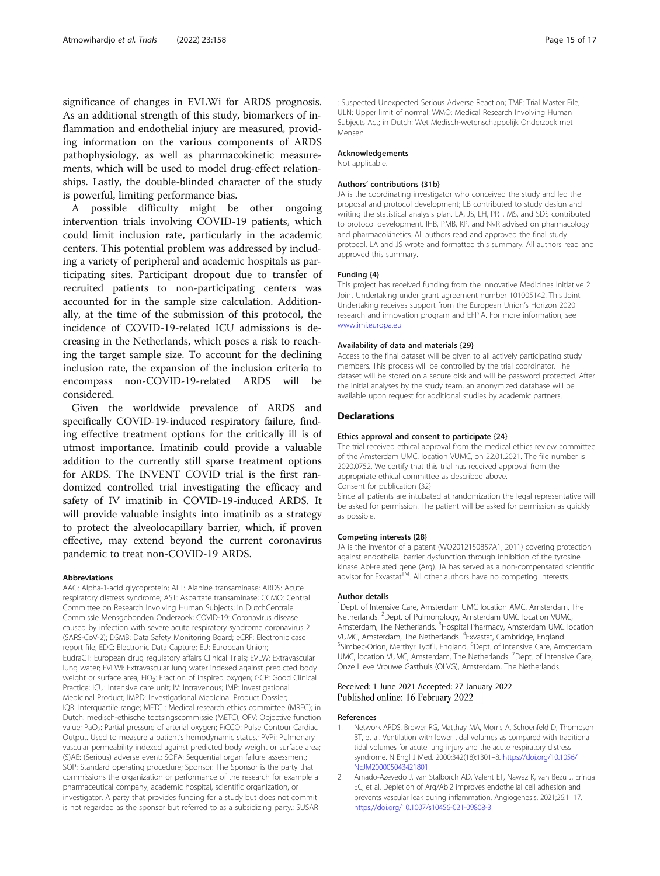<span id="page-14-0"></span>significance of changes in EVLWi for ARDS prognosis. As an additional strength of this study, biomarkers of inflammation and endothelial injury are measured, providing information on the various components of ARDS pathophysiology, as well as pharmacokinetic measurements, which will be used to model drug-effect relationships. Lastly, the double-blinded character of the study is powerful, limiting performance bias.

A possible difficulty might be other ongoing intervention trials involving COVID-19 patients, which could limit inclusion rate, particularly in the academic centers. This potential problem was addressed by including a variety of peripheral and academic hospitals as participating sites. Participant dropout due to transfer of recruited patients to non-participating centers was accounted for in the sample size calculation. Additionally, at the time of the submission of this protocol, the incidence of COVID-19-related ICU admissions is decreasing in the Netherlands, which poses a risk to reaching the target sample size. To account for the declining inclusion rate, the expansion of the inclusion criteria to encompass non-COVID-19-related ARDS will be considered.

Given the worldwide prevalence of ARDS and specifically COVID-19-induced respiratory failure, finding effective treatment options for the critically ill is of utmost importance. Imatinib could provide a valuable addition to the currently still sparse treatment options for ARDS. The INVENT COVID trial is the first randomized controlled trial investigating the efficacy and safety of IV imatinib in COVID-19-induced ARDS. It will provide valuable insights into imatinib as a strategy to protect the alveolocapillary barrier, which, if proven effective, may extend beyond the current coronavirus pandemic to treat non-COVID-19 ARDS.

#### Abbreviations

AAG: Alpha-1-acid glycoprotein; ALT: Alanine transaminase; ARDS: Acute respiratory distress syndrome; AST: Aspartate transaminase; CCMO: Central Committee on Research Involving Human Subjects; in DutchCentrale Commissie Mensgebonden Onderzoek; COVID-19: Coronavirus disease caused by infection with severe acute respiratory syndrome coronavirus 2 (SARS-CoV-2); DSMB: Data Safety Monitoring Board; eCRF: Electronic case report file; EDC: Electronic Data Capture; EU: European Union; EudraCT: European drug regulatory affairs Clinical Trials; EVLW: Extravascular lung water; EVLWi: Extravascular lung water indexed against predicted body weight or surface area; FiO<sub>2</sub>: Fraction of inspired oxygen; GCP: Good Clinical Practice; ICU: Intensive care unit; IV: Intravenous; IMP: Investigational Medicinal Product; IMPD: Investigational Medicinal Product Dossier; IQR: Interquartile range; METC : Medical research ethics committee (MREC); in Dutch: medisch-ethische toetsingscommissie (METC); OFV: Objective function value; PaO<sub>2</sub>: Partial pressure of arterial oxygen; PiCCO: Pulse Contour Cardiac Output. Used to measure a patient's hemodynamic status.; PVPi: Pulmonary vascular permeability indexed against predicted body weight or surface area; (S)AE: (Serious) adverse event; SOFA: Sequential organ failure assessment; SOP: Standard operating procedure; Sponsor: The Sponsor is the party that commissions the organization or performance of the research for example a pharmaceutical company, academic hospital, scientific organization, or investigator. A party that provides funding for a study but does not commit is not regarded as the sponsor but referred to as a subsidizing party.; SUSAR

: Suspected Unexpected Serious Adverse Reaction; TMF: Trial Master File; ULN: Upper limit of normal; WMO: Medical Research Involving Human Subjects Act; in Dutch: Wet Medisch-wetenschappelijk Onderzoek met Mensen

#### Acknowledgements

Not applicable.

#### Authors' contributions {31b}

JA is the coordinating investigator who conceived the study and led the proposal and protocol development; LB contributed to study design and writing the statistical analysis plan. LA, JS, LH, PRT, MS, and SDS contributed to protocol development. IHB, PMB, KP, and NvR advised on pharmacology and pharmacokinetics. All authors read and approved the final study protocol. LA and JS wrote and formatted this summary. All authors read and approved this summary.

#### Funding {4}

This project has received funding from the Innovative Medicines Initiative 2 Joint Undertaking under grant agreement number 101005142. This Joint Undertaking receives support from the European Union's Horizon 2020 research and innovation program and EFPIA. For more information, see [www.imi.europa.eu](http://www.imi.europa.eu)

#### Availability of data and materials {29}

Access to the final dataset will be given to all actively participating study members. This process will be controlled by the trial coordinator. The dataset will be stored on a secure disk and will be password protected. After the initial analyses by the study team, an anonymized database will be available upon request for additional studies by academic partners.

#### **Declarations**

#### Ethics approval and consent to participate {24}

The trial received ethical approval from the medical ethics review committee of the Amsterdam UMC, location VUMC, on 22.01.2021. The file number is 2020.0752. We certify that this trial has received approval from the appropriate ethical committee as described above. Consent for publication {32}

Since all patients are intubated at randomization the legal representative will be asked for permission. The patient will be asked for permission as quickly as possible.

#### Competing interests {28}

JA is the inventor of a patent (WO2012150857A1, 2011) covering protection against endothelial barrier dysfunction through inhibition of the tyrosine kinase Abl-related gene (Arg). JA has served as a non-compensated scientific advisor for Exvastat<sup>TM</sup>. All other authors have no competing interests.

#### Author details

<sup>1</sup>Dept. of Intensive Care, Amsterdam UMC location AMC, Amsterdam, The Netherlands. <sup>2</sup>Dept. of Pulmonology, Amsterdam UMC location VUMC Amsterdam, The Netherlands. <sup>3</sup> Hospital Pharmacy, Amsterdam UMC location VUMC, Amsterdam, The Netherlands. <sup>4</sup>Exvastat, Cambridge, England.<br><sup>5</sup>Simbos Orion, Morthur Tudfil, England. <sup>6</sup>Dopt, of Intensive Care, Am Simbec-Orion, Merthyr Tydfil, England. <sup>6</sup>Dept. of Intensive Care, Amsterdam UMC, location VUMC, Amsterdam, The Netherlands. <sup>7</sup>Dept. of Intensive Care, Onze Lieve Vrouwe Gasthuis (OLVG), Amsterdam, The Netherlands.

#### Received: 1 June 2021 Accepted: 27 January 2022 Published online: 16 February 2022

#### References

- 1. Network ARDS, Brower RG, Matthay MA, Morris A, Schoenfeld D, Thompson BT, et al. Ventilation with lower tidal volumes as compared with traditional tidal volumes for acute lung injury and the acute respiratory distress syndrome. N Engl J Med. 2000;342(18):1301–8. [https://doi.org/10.1056/](https://doi.org/10.1056/NEJM200005043421801) [NEJM200005043421801.](https://doi.org/10.1056/NEJM200005043421801)
- 2. Amado-Azevedo J, van Stalborch AD, Valent ET, Nawaz K, van Bezu J, Eringa EC, et al. Depletion of Arg/Abl2 improves endothelial cell adhesion and prevents vascular leak during inflammation. Angiogenesis. 2021;26:1–17. [https://doi.org/10.1007/s10456-021-09808-3.](https://doi.org/10.1007/s10456-021-09808-3)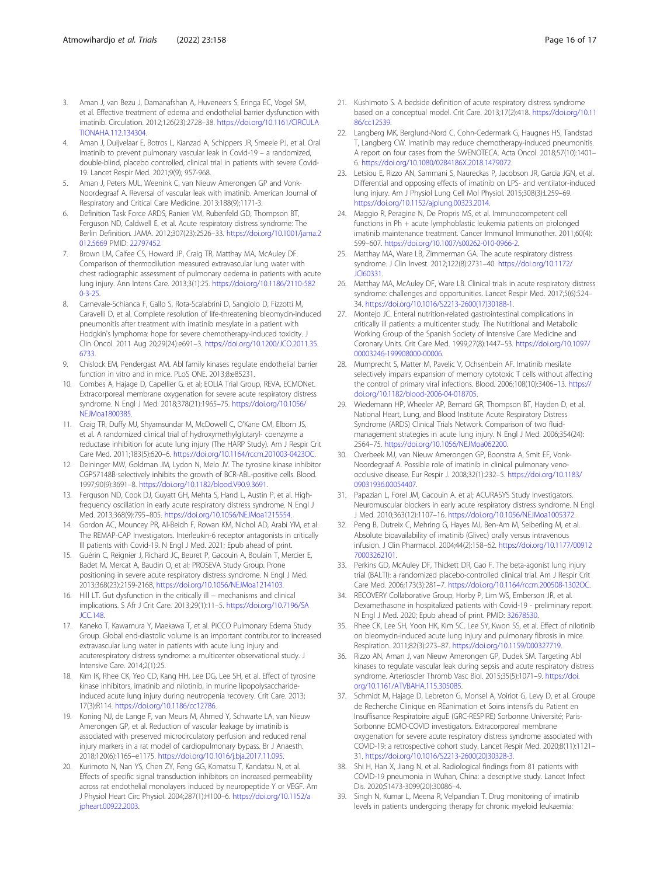- <span id="page-15-0"></span>3. Aman J, van Bezu J, Damanafshan A, Huveneers S, Eringa EC, Vogel SM, et al. Effective treatment of edema and endothelial barrier dysfunction with imatinib. Circulation. 2012;126(23):2728–38. [https://doi.org/10.1161/CIRCULA](https://doi.org/10.1161/CIRCULATIONAHA.112.134304) [TIONAHA.112.134304.](https://doi.org/10.1161/CIRCULATIONAHA.112.134304)
- 4. Aman J, Duijvelaar E, Botros L, Kianzad A, Schippers JR, Smeele PJ, et al. Oral imatinib to prevent pulmonary vascular leak in Covid-19 – a randomized, double-blind, placebo controlled, clinical trial in patients with severe Covid-19. Lancet Respir Med. 2021;9(9); 957-968.
- 5. Aman J, Peters MJL, Weenink C, van Nieuw Amerongen GP and Vonk-Noordegraaf A. Reversal of vascular leak with imatinib. American Journal of Respiratory and Critical Care Medicine. 2013:188(9);1171-3.
- 6. Definition Task Force ARDS, Ranieri VM, Rubenfeld GD, Thompson BT, Ferguson ND, Caldwell E, et al. Acute respiratory distress syndrome: The Berlin Definition. JAMA. 2012;307(23):2526–33. [https://doi.org/10.1001/jama.2](https://doi.org/10.1001/jama.2012.5669) [012.5669](https://doi.org/10.1001/jama.2012.5669) PMID: [22797452.](https://www.ncbi.nlm.nih.gov/pubmed/22797452)
- Brown LM, Calfee CS, Howard JP, Craig TR, Matthay MA, McAuley DF. Comparison of thermodilution measured extravascular lung water with chest radiographic assessment of pulmonary oedema in patients with acute lung injury. Ann Intens Care. 2013;3(1):25. [https://doi.org/10.1186/2110-582](https://doi.org/10.1186/2110-5820-3-25) [0-3-25.](https://doi.org/10.1186/2110-5820-3-25)
- 8. Carnevale-Schianca F, Gallo S, Rota-Scalabrini D, Sangiolo D, Fizzotti M, Caravelli D, et al. Complete resolution of life-threatening bleomycin-induced pneumonitis after treatment with imatinib mesylate in a patient with Hodgkin's lymphoma: hope for severe chemotherapy-induced toxicity. J Clin Oncol. 2011 Aug 20;29(24):e691–3. [https://doi.org/10.1200/JCO.2011.35.](https://doi.org/10.1200/JCO.2011.35.6733) [6733](https://doi.org/10.1200/JCO.2011.35.6733).
- 9. Chislock EM, Pendergast AM. Abl family kinases regulate endothelial barrier function in vitro and in mice. PLoS ONE. 2013;8:e85231.
- 10. Combes A, Hajage D, Capellier G. et al; EOLIA Trial Group, REVA, ECMONet. Extracorporeal membrane oxygenation for severe acute respiratory distress syndrome. N Engl J Med. 2018;378(21):1965–75. [https://doi.org/10.1056/](https://doi.org/10.1056/NEJMoa1800385) [NEJMoa1800385](https://doi.org/10.1056/NEJMoa1800385).
- 11. Craig TR, Duffy MJ, Shyamsundar M, McDowell C, O'Kane CM, Elborn JS, et al. A randomized clinical trial of hydroxymethylglutaryl- coenzyme a reductase inhibition for acute lung injury (The HARP Study). Am J Respir Crit Care Med. 2011;183(5):620–6. [https://doi.org/10.1164/rccm.201003-0423OC.](https://doi.org/10.1164/rccm.201003-0423OC)
- 12. Deininger MW, Goldman JM, Lydon N, Melo JV. The tyrosine kinase inhibitor CGP57148B selectively inhibits the growth of BCR-ABL-positive cells. Blood. 1997;90(9):3691–8. [https://doi.org/10.1182/blood.V90.9.3691.](https://doi.org/10.1182/blood.V90.9.3691)
- 13. Ferguson ND, Cook DJ, Guyatt GH, Mehta S, Hand L, Austin P, et al. Highfrequency oscillation in early acute respiratory distress syndrome. N Engl J Med. 2013;368(9):795–805. <https://doi.org/10.1056/NEJMoa1215554>.
- 14. Gordon AC, Mouncey PR, Al-Beidh F, Rowan KM, Nichol AD, Arabi YM, et al. The REMAP-CAP Investigators. Interleukin-6 receptor antagonists in critically Ill patients with Covid-19. N Engl J Med. 2021; Epub ahead of print.
- 15. Guérin C, Reignier J, Richard JC, Beuret P, Gacouin A, Boulain T, Mercier E, Badet M, Mercat A, Baudin O, et al; PROSEVA Study Group. Prone positioning in severe acute respiratory distress syndrome. N Engl J Med. 2013;368(23):2159-2168, <https://doi.org/10.1056/NEJMoa1214103>.
- 16. Hill LT. Gut dysfunction in the critically ill − mechanisms and clinical implications. S Afr J Crit Care. 2013;29(1):11–5. [https://doi.org/10.7196/SA](https://doi.org/10.7196/SAJCC.148) [JCC.148.](https://doi.org/10.7196/SAJCC.148)
- 17. Kaneko T, Kawamura Y, Maekawa T, et al. PiCCO Pulmonary Edema Study Group. Global end-diastolic volume is an important contributor to increased extravascular lung water in patients with acute lung injury and acuterespiratory distress syndrome: a multicenter observational study. J Intensive Care. 2014;2(1):25.
- 18. Kim IK, Rhee CK, Yeo CD, Kang HH, Lee DG, Lee SH, et al. Effect of tyrosine kinase inhibitors, imatinib and nilotinib, in murine lipopolysaccharideinduced acute lung injury during neutropenia recovery. Crit Care. 2013; 17(3):R114. <https://doi.org/10.1186/cc12786>.
- 19. Koning NJ, de Lange F, van Meurs M, Ahmed Y, Schwarte LA, van Nieuw Amerongen GP, et al. Reduction of vascular leakage by imatinib is associated with preserved microcirculatory perfusion and reduced renal injury markers in a rat model of cardiopulmonary bypass. Br J Anaesth. 2018;120(6):1165–e1175. <https://doi.org/10.1016/j.bja.2017.11.095>.
- 20. Kurimoto N, Nan YS, Chen ZY, Feng GG, Komatsu T, Kandatsu N, et al. Effects of specific signal transduction inhibitors on increased permeability across rat endothelial monolayers induced by neuropeptide Y or VEGF. Am J Physiol Heart Circ Physiol. 2004;287(1):H100–6. [https://doi.org/10.1152/a](https://doi.org/10.1152/ajpheart.00922.2003) [jpheart.00922.2003.](https://doi.org/10.1152/ajpheart.00922.2003)
- 21. Kushimoto S. A bedside definition of acute respiratory distress syndrome based on a conceptual model. Crit Care. 2013;17(2):418. [https://doi.org/10.11](https://doi.org/10.1186/cc12539) [86/cc12539](https://doi.org/10.1186/cc12539).
- 22. Langberg MK, Berglund-Nord C, Cohn-Cedermark G, Haugnes HS, Tandstad T, Langberg CW. Imatinib may reduce chemotherapy-induced pneumonitis. A report on four cases from the SWENOTECA. Acta Oncol. 2018;57(10):1401– 6. <https://doi.org/10.1080/0284186X.2018.1479072>.
- 23. Letsiou E, Rizzo AN, Sammani S, Naureckas P, Jacobson JR, Garcia JGN, et al. Differential and opposing effects of imatinib on LPS- and ventilator-induced lung injury. Am J Physiol Lung Cell Mol Physiol. 2015;308(3):L259–69. <https://doi.org/10.1152/ajplung.00323.2014>.
- 24. Maggio R, Peragine N, De Propris MS, et al. Immunocompetent cell functions in Ph + acute lymphoblastic leukemia patients on prolonged imatinib maintenance treatment. Cancer Immunol Immunother. 2011;60(4): 599–607. <https://doi.org/10.1007/s00262-010-0966-2>.
- 25. Matthay MA, Ware LB, Zimmerman GA. The acute respiratory distress syndrome. J Clin Invest. 2012;122(8):2731–40. [https://doi.org/10.1172/](https://doi.org/10.1172/JCI60331) [JCI60331.](https://doi.org/10.1172/JCI60331)
- 26. Matthay MA, McAuley DF, Ware LB. Clinical trials in acute respiratory distress syndrome: challenges and opportunities. Lancet Respir Med. 2017;5(6):524– 34. [https://doi.org/10.1016/S2213-2600\(17\)30188-1.](https://doi.org/10.1016/S2213-2600(17)30188-1)
- 27. Montejo JC. Enteral nutrition-related gastrointestinal complications in critically ill patients: a multicenter study. The Nutritional and Metabolic Working Group of the Spanish Society of Intensive Care Medicine and Coronary Units. Crit Care Med. 1999;27(8):1447–53. [https://doi.org/10.1097/](https://doi.org/10.1097/00003246-199908000-00006) [00003246-199908000-00006.](https://doi.org/10.1097/00003246-199908000-00006)
- 28. Mumprecht S, Matter M, Pavelic V, Ochsenbein AF. Imatinib mesilate selectively impairs expansion of memory cytotoxic T cells without affecting the control of primary viral infections. Blood. 2006;108(10):3406–13. [https://](https://doi.org/10.1182/blood-2006-04-018705) [doi.org/10.1182/blood-2006-04-018705](https://doi.org/10.1182/blood-2006-04-018705).
- 29. Wiedemann HP, Wheeler AP, Bernard GR, Thompson BT, Hayden D, et al. National Heart, Lung, and Blood Institute Acute Respiratory Distress Syndrome (ARDS) Clinical Trials Network. Comparison of two fluidmanagement strategies in acute lung injury. N Engl J Med. 2006;354(24): 2564–75. <https://doi.org/10.1056/NEJMoa062200>.
- 30. Overbeek MJ, van Nieuw Amerongen GP, Boonstra A, Smit EF, Vonk-Noordegraaf A. Possible role of imatinib in clinical pulmonary venoocclusive disease. Eur Respir J. 2008;32(1):232–5. [https://doi.org/10.1183/](https://doi.org/10.1183/09031936.00054407) [09031936.00054407.](https://doi.org/10.1183/09031936.00054407)
- 31. Papazian L, Forel JM, Gacouin A. et al; ACURASYS Study Investigators. Neuromuscular blockers in early acute respiratory distress syndrome. N Engl J Med. 2010;363(12):1107–16. <https://doi.org/10.1056/NEJMoa1005372>.
- 32. Peng B, Dutreix C, Mehring G, Hayes MJ, Ben-Am M, Seiberling M, et al. Absolute bioavailability of imatinib (Glivec) orally versus intravenous infusion. J Clin Pharmacol. 2004;44(2):158–62. [https://doi.org/10.1177/00912](https://doi.org/10.1177/0091270003262101) [70003262101](https://doi.org/10.1177/0091270003262101).
- 33. Perkins GD, McAuley DF, Thickett DR, Gao F. The beta-agonist lung injury trial (BALTI): a randomized placebo-controlled clinical trial. Am J Respir Crit Care Med. 2006;173(3):281–7. <https://doi.org/10.1164/rccm.200508-1302OC>.
- 34. RECOVERY Collaborative Group, Horby P, Lim WS, Emberson JR, et al. Dexamethasone in hospitalized patients with Covid-19 - preliminary report. N Engl J Med. 2020; Epub ahead of print. PMID: [32678530](https://www.ncbi.nlm.nih.gov/pubmed/32678530).
- 35. Rhee CK, Lee SH, Yoon HK, Kim SC, Lee SY, Kwon SS, et al. Effect of nilotinib on bleomycin-induced acute lung injury and pulmonary fibrosis in mice. Respiration. 2011;82(3):273–87. <https://doi.org/10.1159/000327719>.
- 36. Rizzo AN, Aman J, van Nieuw Amerongen GP, Dudek SM. Targeting Abl kinases to regulate vascular leak during sepsis and acute respiratory distress syndrome. Arterioscler Thromb Vasc Biol. 2015;35(5):1071–9. [https://doi.](https://doi.org/10.1161/ATVBAHA.115.305085) [org/10.1161/ATVBAHA.115.305085](https://doi.org/10.1161/ATVBAHA.115.305085).
- 37. Schmidt M, Hajage D, Lebreton G, Monsel A, Voiriot G, Levy D, et al. Groupe de Recherche Clinique en REanimation et Soins intensifs du Patient en Insuffisance Respiratoire aiguE (GRC-RESPIRE) Sorbonne Université; Paris-Sorbonne ECMO-COVID investigators. Extracorporeal membrane oxygenation for severe acute respiratory distress syndrome associated with COVID-19: a retrospective cohort study. Lancet Respir Med. 2020;8(11):1121– 31. [https://doi.org/10.1016/S2213-2600\(20\)30328-3.](https://doi.org/10.1016/S2213-2600(20)30328-3)
- 38. Shi H, Han X, Jiang N, et al. Radiological findings from 81 patients with COVID-19 pneumonia in Wuhan, China: a descriptive study. Lancet Infect Dis. 2020;S1473-3099(20):30086–4.
- 39. Singh N, Kumar L, Meena R, Velpandian T. Drug monitoring of imatinib levels in patients undergoing therapy for chronic myeloid leukaemia: